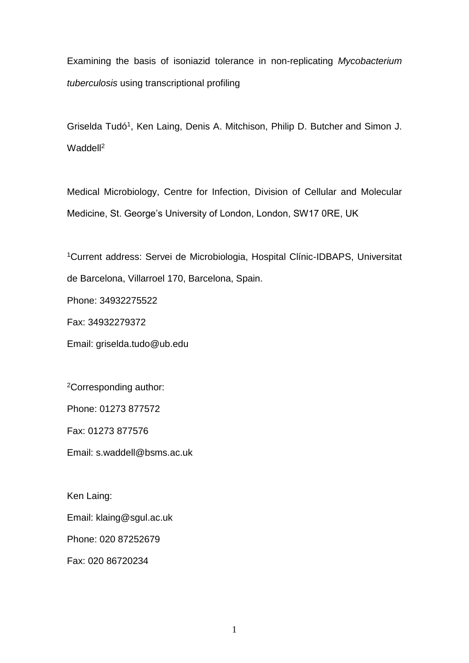Examining the basis of isoniazid tolerance in non-replicating *Mycobacterium tuberculosis* using transcriptional profiling

Griselda Tudó<sup>1</sup>, Ken Laing, Denis A. Mitchison, Philip D. Butcher and Simon J. Waddell<sup>2</sup>

Medical Microbiology, Centre for Infection, Division of Cellular and Molecular Medicine, St. George's University of London, London, SW17 0RE, UK

<sup>1</sup>Current address: Servei de Microbiologia, Hospital Clínic-IDBAPS, Universitat de Barcelona, Villarroel 170, Barcelona, Spain.

Phone: 34932275522

Fax: 34932279372

Email: griselda.tudo@ub.edu

<sup>2</sup>Corresponding author: Phone: 01273 877572 Fax: 01273 877576

Email: s.waddell@bsms.ac.uk

Ken Laing:

Email: klaing@sgul.ac.uk

Phone: 020 87252679

Fax: 020 86720234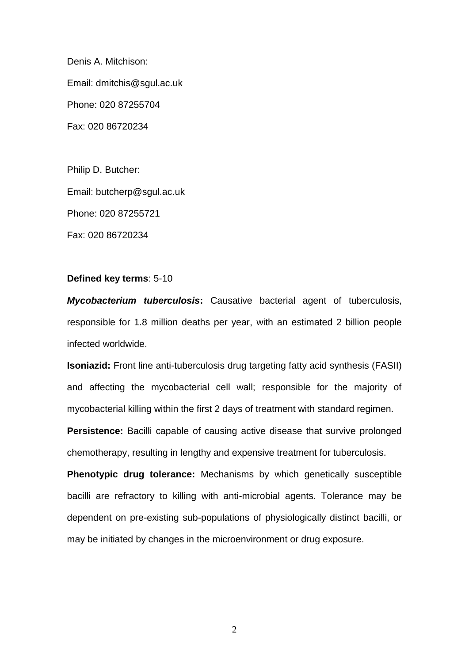Denis A. Mitchison: Email: dmitchis@sgul.ac.uk Phone: 020 87255704 Fax: 020 86720234

Philip D. Butcher: Email: butcherp@sgul.ac.uk Phone: 020 87255721

Fax: 020 86720234

### **Defined key terms**: 5-10

*Mycobacterium tuberculosis***:** Causative bacterial agent of tuberculosis, responsible for 1.8 million deaths per year, with an estimated 2 billion people infected worldwide.

**Isoniazid:** Front line anti-tuberculosis drug targeting fatty acid synthesis (FASII) and affecting the mycobacterial cell wall; responsible for the majority of mycobacterial killing within the first 2 days of treatment with standard regimen.

**Persistence:** Bacilli capable of causing active disease that survive prolonged chemotherapy, resulting in lengthy and expensive treatment for tuberculosis.

**Phenotypic drug tolerance:** Mechanisms by which genetically susceptible bacilli are refractory to killing with anti-microbial agents. Tolerance may be dependent on pre-existing sub-populations of physiologically distinct bacilli, or may be initiated by changes in the microenvironment or drug exposure.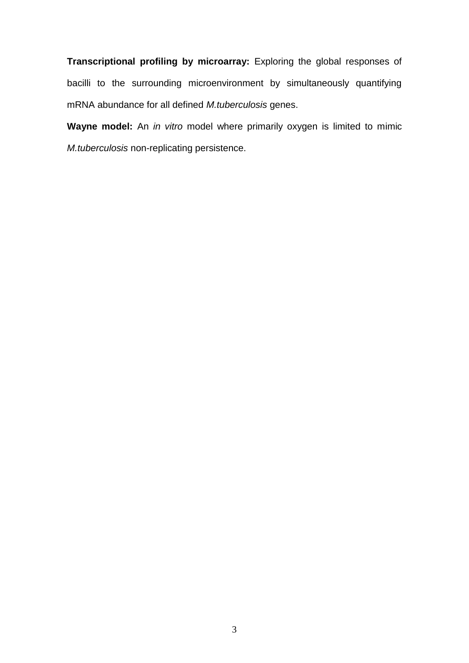**Transcriptional profiling by microarray:** Exploring the global responses of bacilli to the surrounding microenvironment by simultaneously quantifying mRNA abundance for all defined *M.tuberculosis* genes.

**Wayne model:** An *in vitro* model where primarily oxygen is limited to mimic *M.tuberculosis* non-replicating persistence.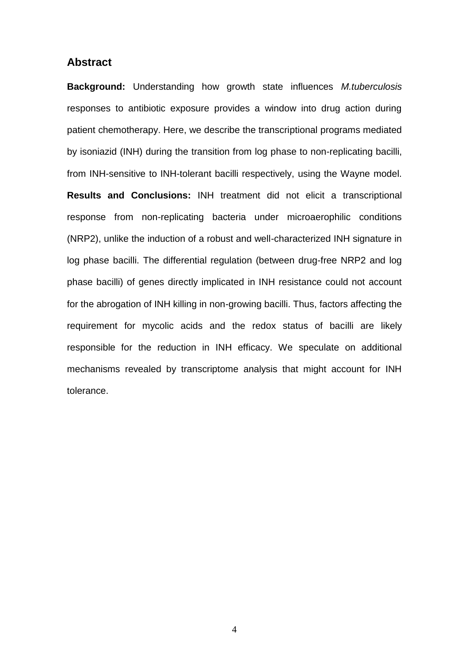### **Abstract**

**Background:** Understanding how growth state influences *M.tuberculosis* responses to antibiotic exposure provides a window into drug action during patient chemotherapy. Here, we describe the transcriptional programs mediated by isoniazid (INH) during the transition from log phase to non-replicating bacilli, from INH-sensitive to INH-tolerant bacilli respectively, using the Wayne model. **Results and Conclusions:** INH treatment did not elicit a transcriptional response from non-replicating bacteria under microaerophilic conditions (NRP2), unlike the induction of a robust and well-characterized INH signature in log phase bacilli. The differential regulation (between drug-free NRP2 and log phase bacilli) of genes directly implicated in INH resistance could not account for the abrogation of INH killing in non-growing bacilli. Thus, factors affecting the requirement for mycolic acids and the redox status of bacilli are likely responsible for the reduction in INH efficacy. We speculate on additional mechanisms revealed by transcriptome analysis that might account for INH tolerance.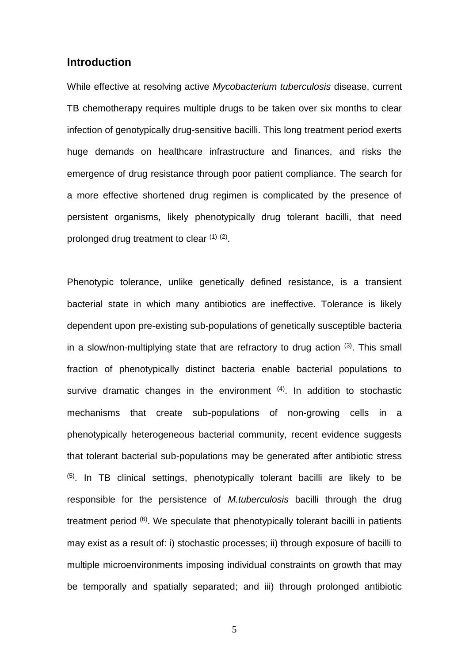## **Introduction**

While effective at resolving active *Mycobacterium tuberculosis* disease, current TB chemotherapy requires multiple drugs to be taken over six months to clear infection of genotypically drug-sensitive bacilli. This long treatment period exerts huge demands on healthcare infrastructure and finances, and risks the emergence of drug resistance through poor patient compliance. The search for a more effective shortened drug regimen is complicated by the presence of persistent organisms, likely phenotypically drug tolerant bacilli, that need prolonged drug treatment to clear (1) (2).

Phenotypic tolerance, unlike genetically defined resistance, is a transient bacterial state in which many antibiotics are ineffective. Tolerance is likely dependent upon pre-existing sub-populations of genetically susceptible bacteria in a slow/non-multiplying state that are refractory to drug action  $(3)$ . This small fraction of phenotypically distinct bacteria enable bacterial populations to survive dramatic changes in the environment (4). In addition to stochastic mechanisms that create sub-populations of non-growing cells in a phenotypically heterogeneous bacterial community, recent evidence suggests that tolerant bacterial sub-populations may be generated after antibiotic stress  $<sup>(5)</sup>$ . In TB clinical settings, phenotypically tolerant bacilli are likely to be</sup> responsible for the persistence of *M.tuberculosis* bacilli through the drug treatment period (6). We speculate that phenotypically tolerant bacilli in patients may exist as a result of: i) stochastic processes; ii) through exposure of bacilli to multiple microenvironments imposing individual constraints on growth that may be temporally and spatially separated; and iii) through prolonged antibiotic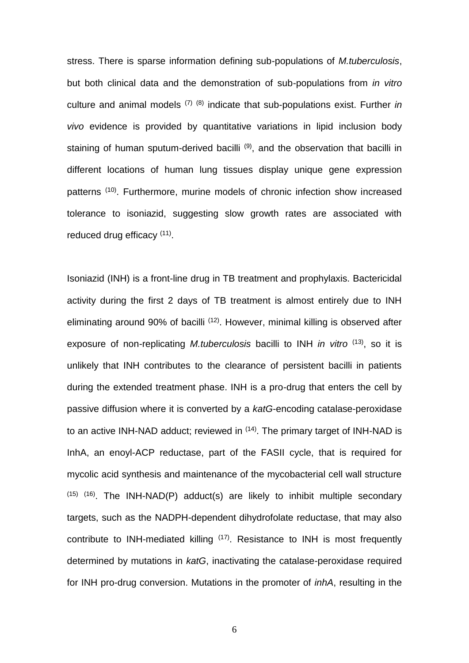stress. There is sparse information defining sub-populations of *M.tuberculosis*, but both clinical data and the demonstration of sub-populations from *in vitro* culture and animal models (7) (8) indicate that sub-populations exist. Further *in vivo* evidence is provided by quantitative variations in lipid inclusion body staining of human sputum-derived bacilli<sup>(9)</sup>, and the observation that bacilli in different locations of human lung tissues display unique gene expression patterns<sup>(10)</sup>. Furthermore, murine models of chronic infection show increased tolerance to isoniazid, suggesting slow growth rates are associated with reduced drug efficacy<sup>(11)</sup>.

Isoniazid (INH) is a front-line drug in TB treatment and prophylaxis. Bactericidal activity during the first 2 days of TB treatment is almost entirely due to INH eliminating around 90% of bacilli<sup>(12)</sup>. However, minimal killing is observed after exposure of non-replicating *M.tuberculosis* bacilli to INH *in vitro* (13), so it is unlikely that INH contributes to the clearance of persistent bacilli in patients during the extended treatment phase. INH is a pro-drug that enters the cell by passive diffusion where it is converted by a *katG*-encoding catalase-peroxidase to an active INH-NAD adduct; reviewed in  $(14)$ . The primary target of INH-NAD is InhA, an enoyl-ACP reductase, part of the FASII cycle, that is required for mycolic acid synthesis and maintenance of the mycobacterial cell wall structure  $(15)$   $(16)$ . The INH-NAD(P) adduct(s) are likely to inhibit multiple secondary targets, such as the NADPH-dependent dihydrofolate reductase, that may also contribute to INH-mediated killing  $(17)$ . Resistance to INH is most frequently determined by mutations in *katG*, inactivating the catalase-peroxidase required for INH pro-drug conversion. Mutations in the promoter of *inhA*, resulting in the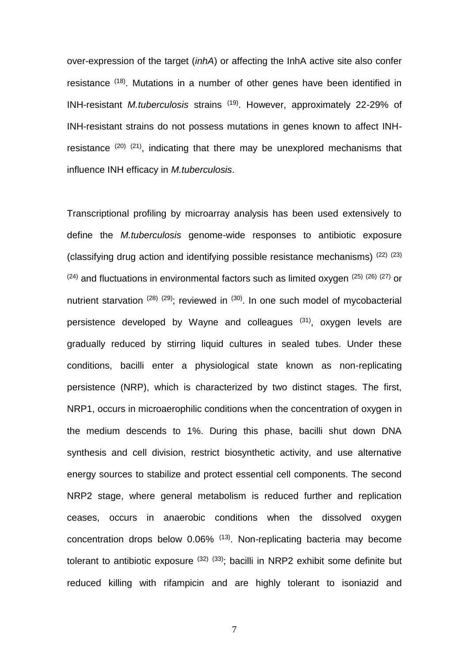over-expression of the target (*inhA*) or affecting the InhA active site also confer resistance <sup>(18)</sup>. Mutations in a number of other genes have been identified in INH-resistant *M.tuberculosis* strains (19). However, approximately 22-29% of INH-resistant strains do not possess mutations in genes known to affect INHresistance  $(20)$   $(21)$ , indicating that there may be unexplored mechanisms that influence INH efficacy in *M.tuberculosis*.

Transcriptional profiling by microarray analysis has been used extensively to define the *M.tuberculosis* genome-wide responses to antibiotic exposure (classifying drug action and identifying possible resistance mechanisms) (22) (23)  $(24)$  and fluctuations in environmental factors such as limited oxygen  $(25)$   $(26)$   $(27)$  or nutrient starvation  $(28)$   $(29)$ ; reviewed in  $(30)$ . In one such model of mycobacterial persistence developed by Wayne and colleagues (31), oxygen levels are gradually reduced by stirring liquid cultures in sealed tubes. Under these conditions, bacilli enter a physiological state known as non-replicating persistence (NRP), which is characterized by two distinct stages. The first, NRP1, occurs in microaerophilic conditions when the concentration of oxygen in the medium descends to 1%. During this phase, bacilli shut down DNA synthesis and cell division, restrict biosynthetic activity, and use alternative energy sources to stabilize and protect essential cell components. The second NRP2 stage, where general metabolism is reduced further and replication ceases, occurs in anaerobic conditions when the dissolved oxygen concentration drops below 0.06% (13). Non-replicating bacteria may become tolerant to antibiotic exposure  $(32)$   $(33)$ ; bacilli in NRP2 exhibit some definite but reduced killing with rifampicin and are highly tolerant to isoniazid and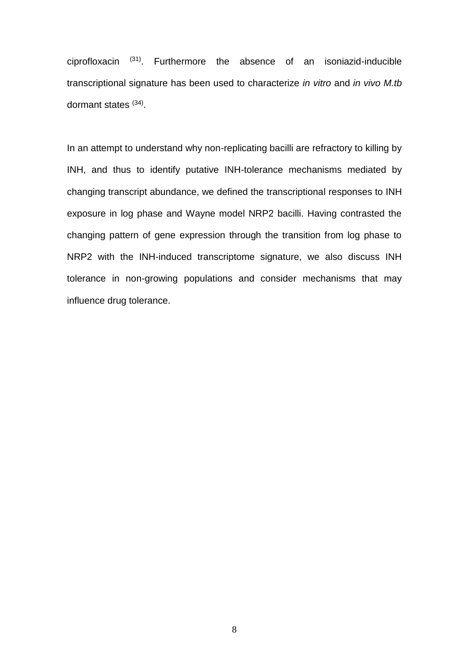ciprofloxacin (31) . Furthermore the absence of an isoniazid-inducible transcriptional signature has been used to characterize *in vitro* and *in vivo M.tb* dormant states (34).

In an attempt to understand why non-replicating bacilli are refractory to killing by INH, and thus to identify putative INH-tolerance mechanisms mediated by changing transcript abundance, we defined the transcriptional responses to INH exposure in log phase and Wayne model NRP2 bacilli. Having contrasted the changing pattern of gene expression through the transition from log phase to NRP2 with the INH-induced transcriptome signature, we also discuss INH tolerance in non-growing populations and consider mechanisms that may influence drug tolerance.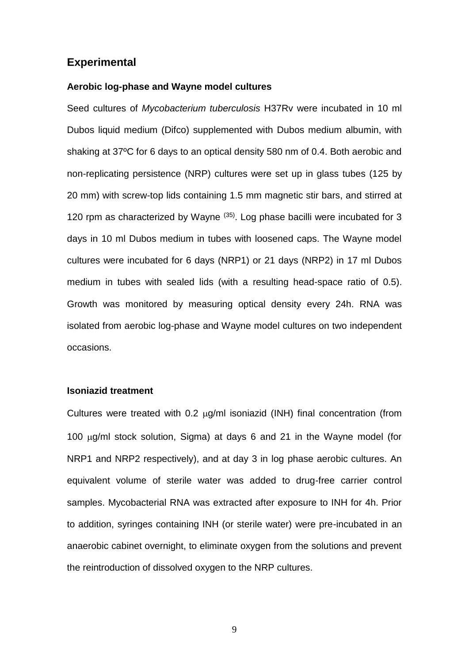## **Experimental**

### **Aerobic log-phase and Wayne model cultures**

Seed cultures of *Mycobacterium tuberculosis* H37Rv were incubated in 10 ml Dubos liquid medium (Difco) supplemented with Dubos medium albumin, with shaking at 37ºC for 6 days to an optical density 580 nm of 0.4. Both aerobic and non-replicating persistence (NRP) cultures were set up in glass tubes (125 by 20 mm) with screw-top lids containing 1.5 mm magnetic stir bars, and stirred at 120 rpm as characterized by Wayne  $(35)$ . Log phase bacilli were incubated for 3 days in 10 ml Dubos medium in tubes with loosened caps. The Wayne model cultures were incubated for 6 days (NRP1) or 21 days (NRP2) in 17 ml Dubos medium in tubes with sealed lids (with a resulting head-space ratio of 0.5). Growth was monitored by measuring optical density every 24h. RNA was isolated from aerobic log-phase and Wayne model cultures on two independent occasions.

### **Isoniazid treatment**

Cultures were treated with 0.2  $\mu$ g/ml isoniazid (INH) final concentration (from 100  $\mu$ g/ml stock solution, Sigma) at days 6 and 21 in the Wayne model (for NRP1 and NRP2 respectively), and at day 3 in log phase aerobic cultures. An equivalent volume of sterile water was added to drug-free carrier control samples. Mycobacterial RNA was extracted after exposure to INH for 4h. Prior to addition, syringes containing INH (or sterile water) were pre-incubated in an anaerobic cabinet overnight, to eliminate oxygen from the solutions and prevent the reintroduction of dissolved oxygen to the NRP cultures.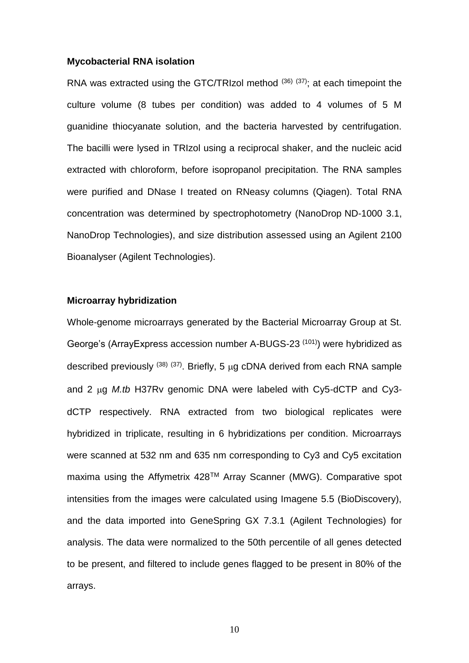### **Mycobacterial RNA isolation**

RNA was extracted using the GTC/TRIzol method (36) (37); at each timepoint the culture volume (8 tubes per condition) was added to 4 volumes of 5 M guanidine thiocyanate solution, and the bacteria harvested by centrifugation. The bacilli were lysed in TRIzol using a reciprocal shaker, and the nucleic acid extracted with chloroform, before isopropanol precipitation. The RNA samples were purified and DNase I treated on RNeasy columns (Qiagen). Total RNA concentration was determined by spectrophotometry (NanoDrop ND-1000 3.1, NanoDrop Technologies), and size distribution assessed using an Agilent 2100 Bioanalyser (Agilent Technologies).

### **Microarray hybridization**

Whole-genome microarrays generated by the Bacterial Microarray Group at St. George's (ArrayExpress accession number A-BUGS-23<sup>(101)</sup>) were hybridized as described previously  $(38)$   $(37)$ . Briefly, 5  $\mu$ g cDNA derived from each RNA sample and 2 µg *M.tb* H37Rv genomic DNA were labeled with Cy5-dCTP and Cy3dCTP respectively. RNA extracted from two biological replicates were hybridized in triplicate, resulting in 6 hybridizations per condition. Microarrays were scanned at 532 nm and 635 nm corresponding to Cy3 and Cy5 excitation maxima using the Affymetrix 428TM Array Scanner (MWG). Comparative spot intensities from the images were calculated using Imagene 5.5 (BioDiscovery), and the data imported into GeneSpring GX 7.3.1 (Agilent Technologies) for analysis. The data were normalized to the 50th percentile of all genes detected to be present, and filtered to include genes flagged to be present in 80% of the arrays.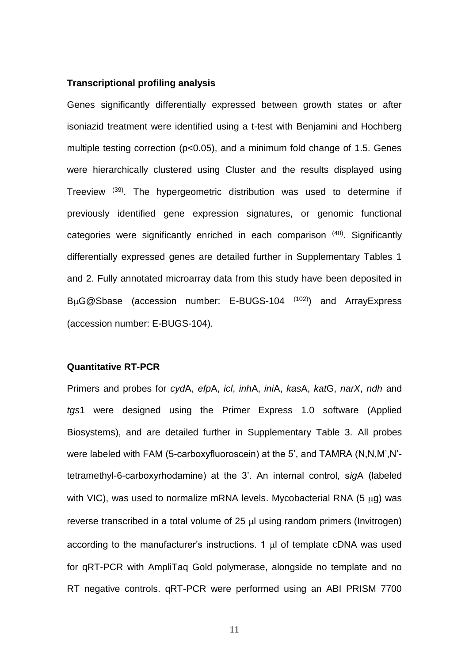### **Transcriptional profiling analysis**

Genes significantly differentially expressed between growth states or after isoniazid treatment were identified using a t-test with Benjamini and Hochberg multiple testing correction (p<0.05), and a minimum fold change of 1.5. Genes were hierarchically clustered using Cluster and the results displayed using Treeview (39). The hypergeometric distribution was used to determine if previously identified gene expression signatures, or genomic functional categories were significantly enriched in each comparison (40). Significantly differentially expressed genes are detailed further in Supplementary Tables 1 and 2. Fully annotated microarray data from this study have been deposited in BuG@Sbase (accession number: E-BUGS-104 <sup>(102)</sup>) and ArrayExpress (accession number: E-BUGS-104).

#### **Quantitative RT-PCR**

Primers and probes for *cyd*A, *efp*A, *icl*, *inh*A, *ini*A, *kas*A, *kat*G, *narX*, *ndh* and *tgs*1 were designed using the Primer Express 1.0 software (Applied Biosystems), and are detailed further in Supplementary Table 3. All probes were labeled with FAM (5-carboxyfluoroscein) at the 5', and TAMRA (N,N,M',N' tetramethyl-6-carboxyrhodamine) at the 3'. An internal control, s*ig*A (labeled with VIC), was used to normalize mRNA levels. Mycobacterial RNA (5  $\mu$ g) was reverse transcribed in a total volume of  $25 \mu l$  using random primers (Invitrogen) according to the manufacturer's instructions. 1  $\mu$  of template cDNA was used for qRT-PCR with AmpliTaq Gold polymerase, alongside no template and no RT negative controls. qRT-PCR were performed using an ABI PRISM 7700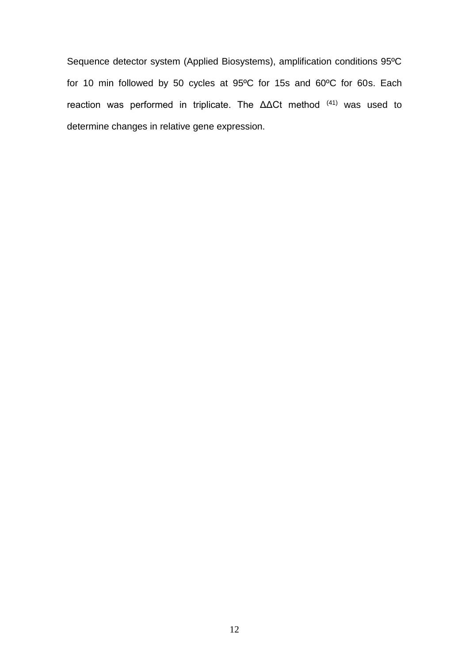Sequence detector system (Applied Biosystems), amplification conditions 95ºC for 10 min followed by 50 cycles at 95ºC for 15s and 60ºC for 60s. Each reaction was performed in triplicate. The ΔΔCt method (41) was used to determine changes in relative gene expression.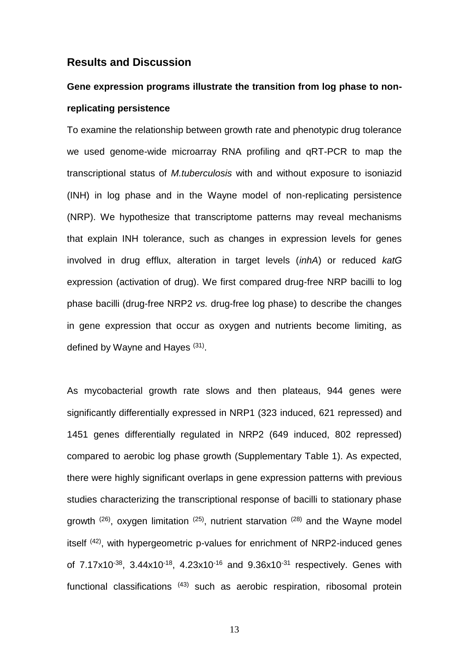## **Results and Discussion**

# **Gene expression programs illustrate the transition from log phase to nonreplicating persistence**

To examine the relationship between growth rate and phenotypic drug tolerance we used genome-wide microarray RNA profiling and qRT-PCR to map the transcriptional status of *M.tuberculosis* with and without exposure to isoniazid (INH) in log phase and in the Wayne model of non-replicating persistence (NRP). We hypothesize that transcriptome patterns may reveal mechanisms that explain INH tolerance, such as changes in expression levels for genes involved in drug efflux, alteration in target levels (*inhA*) or reduced *katG* expression (activation of drug). We first compared drug-free NRP bacilli to log phase bacilli (drug-free NRP2 *vs.* drug-free log phase) to describe the changes in gene expression that occur as oxygen and nutrients become limiting, as defined by Wayne and Hayes (31).

As mycobacterial growth rate slows and then plateaus, 944 genes were significantly differentially expressed in NRP1 (323 induced, 621 repressed) and 1451 genes differentially regulated in NRP2 (649 induced, 802 repressed) compared to aerobic log phase growth (Supplementary Table 1). As expected, there were highly significant overlaps in gene expression patterns with previous studies characterizing the transcriptional response of bacilli to stationary phase growth  $(26)$ , oxygen limitation  $(25)$ , nutrient starvation  $(28)$  and the Wayne model itself (42), with hypergeometric p-values for enrichment of NRP2-induced genes of  $7.17x10^{-38}$ ,  $3.44x10^{-18}$ ,  $4.23x10^{-16}$  and  $9.36x10^{-31}$  respectively. Genes with functional classifications (43) such as aerobic respiration, ribosomal protein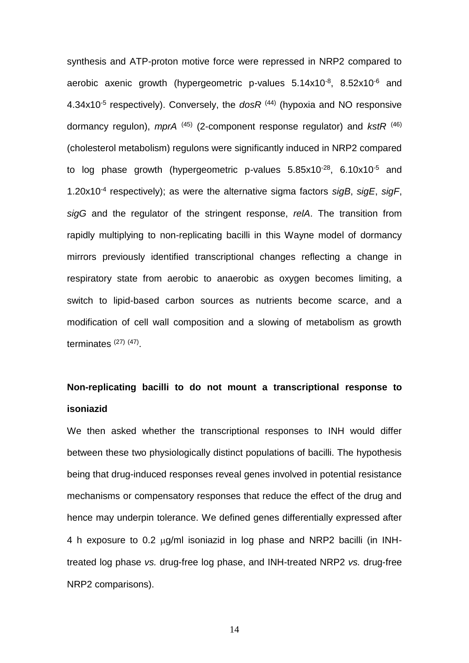synthesis and ATP-proton motive force were repressed in NRP2 compared to aerobic axenic growth (hypergeometric p-values  $5.14 \times 10^{-8}$ ,  $8.52 \times 10^{-6}$  and 4.34x10-5 respectively). Conversely, the *dosR* (44) (hypoxia and NO responsive dormancy regulon), *mprA* (45) (2-component response regulator) and *kstR* (46) (cholesterol metabolism) regulons were significantly induced in NRP2 compared to log phase growth (hypergeometric p-values  $5.85x10^{-28}$ ,  $6.10x10^{-5}$  and 1.20x10-4 respectively); as were the alternative sigma factors *sigB*, *sigE*, *sigF*, *sigG* and the regulator of the stringent response, *relA*. The transition from rapidly multiplying to non-replicating bacilli in this Wayne model of dormancy mirrors previously identified transcriptional changes reflecting a change in respiratory state from aerobic to anaerobic as oxygen becomes limiting, a switch to lipid-based carbon sources as nutrients become scarce, and a modification of cell wall composition and a slowing of metabolism as growth terminates<sup>(27)(47)</sup>.

# **Non-replicating bacilli to do not mount a transcriptional response to isoniazid**

We then asked whether the transcriptional responses to INH would differ between these two physiologically distinct populations of bacilli. The hypothesis being that drug-induced responses reveal genes involved in potential resistance mechanisms or compensatory responses that reduce the effect of the drug and hence may underpin tolerance. We defined genes differentially expressed after 4 h exposure to 0.2  $\mu$ g/ml isoniazid in log phase and NRP2 bacilli (in INHtreated log phase *vs.* drug-free log phase, and INH-treated NRP2 *vs.* drug-free NRP2 comparisons).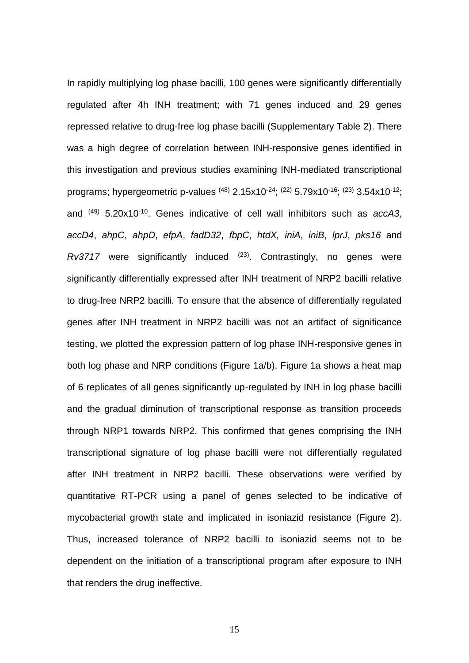In rapidly multiplying log phase bacilli, 100 genes were significantly differentially regulated after 4h INH treatment; with 71 genes induced and 29 genes repressed relative to drug-free log phase bacilli (Supplementary Table 2). There was a high degree of correlation between INH-responsive genes identified in this investigation and previous studies examining INH-mediated transcriptional programs; hypergeometric p-values (48) 2.15x10<sup>-24</sup>; (22) 5.79x10<sup>-16</sup>; <sup>(23)</sup> 3.54x10<sup>-12</sup>; and (49) 5.20x10-10. Genes indicative of cell wall inhibitors such as *accA3*, *accD4*, *ahpC*, *ahpD*, *efpA*, *fadD32*, *fbpC*, *htdX, iniA*, *iniB*, *lprJ*, *pks16* and *Rv3717* were significantly induced <sup>(23)</sup>. Contrastingly, no genes were significantly differentially expressed after INH treatment of NRP2 bacilli relative to drug-free NRP2 bacilli. To ensure that the absence of differentially regulated genes after INH treatment in NRP2 bacilli was not an artifact of significance testing, we plotted the expression pattern of log phase INH-responsive genes in both log phase and NRP conditions (Figure 1a/b). Figure 1a shows a heat map of 6 replicates of all genes significantly up-regulated by INH in log phase bacilli and the gradual diminution of transcriptional response as transition proceeds through NRP1 towards NRP2. This confirmed that genes comprising the INH transcriptional signature of log phase bacilli were not differentially regulated after INH treatment in NRP2 bacilli. These observations were verified by quantitative RT-PCR using a panel of genes selected to be indicative of mycobacterial growth state and implicated in isoniazid resistance (Figure 2). Thus, increased tolerance of NRP2 bacilli to isoniazid seems not to be dependent on the initiation of a transcriptional program after exposure to INH that renders the drug ineffective.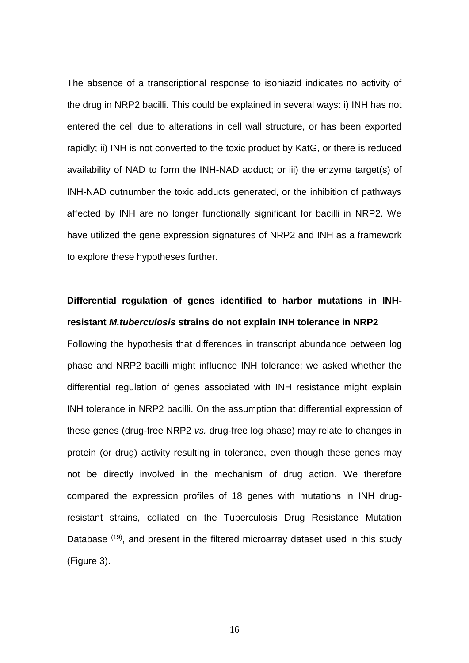The absence of a transcriptional response to isoniazid indicates no activity of the drug in NRP2 bacilli. This could be explained in several ways: i) INH has not entered the cell due to alterations in cell wall structure, or has been exported rapidly; ii) INH is not converted to the toxic product by KatG, or there is reduced availability of NAD to form the INH-NAD adduct; or iii) the enzyme target(s) of INH-NAD outnumber the toxic adducts generated, or the inhibition of pathways affected by INH are no longer functionally significant for bacilli in NRP2. We have utilized the gene expression signatures of NRP2 and INH as a framework to explore these hypotheses further.

# **Differential regulation of genes identified to harbor mutations in INHresistant** *M.tuberculosis* **strains do not explain INH tolerance in NRP2**

Following the hypothesis that differences in transcript abundance between log phase and NRP2 bacilli might influence INH tolerance; we asked whether the differential regulation of genes associated with INH resistance might explain INH tolerance in NRP2 bacilli. On the assumption that differential expression of these genes (drug-free NRP2 *vs.* drug-free log phase) may relate to changes in protein (or drug) activity resulting in tolerance, even though these genes may not be directly involved in the mechanism of drug action. We therefore compared the expression profiles of 18 genes with mutations in INH drugresistant strains, collated on the Tuberculosis Drug Resistance Mutation Database <sup>(19)</sup>, and present in the filtered microarray dataset used in this study (Figure 3).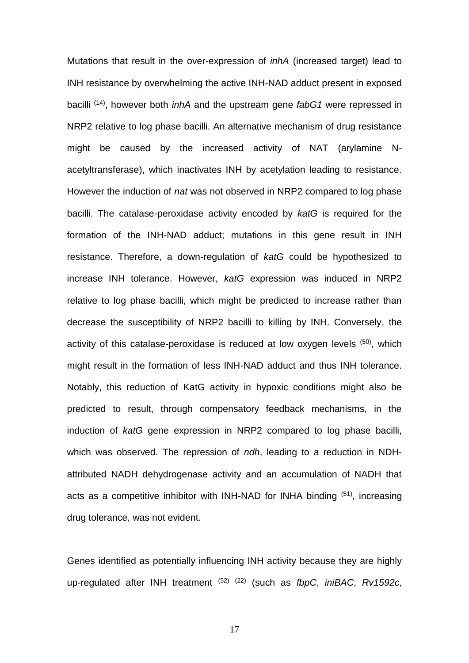Mutations that result in the over-expression of *inhA* (increased target) lead to INH resistance by overwhelming the active INH-NAD adduct present in exposed bacilli (14), however both *inhA* and the upstream gene *fabG1* were repressed in NRP2 relative to log phase bacilli. An alternative mechanism of drug resistance might be caused by the increased activity of NAT (arylamine Nacetyltransferase), which inactivates INH by acetylation leading to resistance. However the induction of *nat* was not observed in NRP2 compared to log phase bacilli. The catalase-peroxidase activity encoded by *katG* is required for the formation of the INH-NAD adduct; mutations in this gene result in INH resistance. Therefore, a down-regulation of *katG* could be hypothesized to increase INH tolerance. However, *katG* expression was induced in NRP2 relative to log phase bacilli, which might be predicted to increase rather than decrease the susceptibility of NRP2 bacilli to killing by INH. Conversely, the activity of this catalase-peroxidase is reduced at low oxygen levels  $(50)$ , which might result in the formation of less INH-NAD adduct and thus INH tolerance. Notably, this reduction of KatG activity in hypoxic conditions might also be predicted to result, through compensatory feedback mechanisms, in the induction of *katG* gene expression in NRP2 compared to log phase bacilli, which was observed. The repression of *ndh*, leading to a reduction in NDHattributed NADH dehydrogenase activity and an accumulation of NADH that acts as a competitive inhibitor with INH-NAD for INHA binding (51), increasing drug tolerance, was not evident.

Genes identified as potentially influencing INH activity because they are highly up-regulated after INH treatment (52) (22) (such as *fbpC*, *iniBAC*, *Rv1592c*,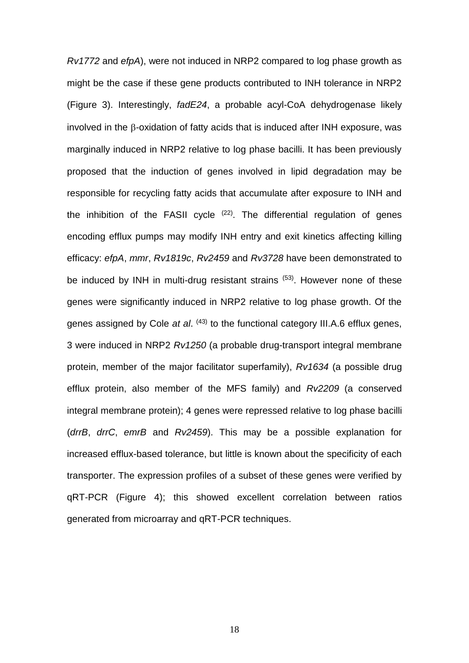*Rv1772* and *efpA*), were not induced in NRP2 compared to log phase growth as might be the case if these gene products contributed to INH tolerance in NRP2 (Figure 3). Interestingly, *fadE24*, a probable acyl-CoA dehydrogenase likely involved in the  $\beta$ -oxidation of fatty acids that is induced after INH exposure, was marginally induced in NRP2 relative to log phase bacilli. It has been previously proposed that the induction of genes involved in lipid degradation may be responsible for recycling fatty acids that accumulate after exposure to INH and the inhibition of the FASII cycle  $(22)$ . The differential regulation of genes encoding efflux pumps may modify INH entry and exit kinetics affecting killing efficacy: *efpA*, *mmr*, *Rv1819c*, *Rv2459* and *Rv3728* have been demonstrated to be induced by INH in multi-drug resistant strains <sup>(53)</sup>. However none of these genes were significantly induced in NRP2 relative to log phase growth. Of the genes assigned by Cole at al. <sup>(43)</sup> to the functional category III.A.6 efflux genes, 3 were induced in NRP2 *Rv1250* (a probable drug-transport integral membrane protein, member of the major facilitator superfamily), *Rv1634* (a possible drug efflux protein, also member of the MFS family) and *Rv2209* (a conserved integral membrane protein); 4 genes were repressed relative to log phase bacilli (*drrB*, *drrC*, *emrB* and *Rv2459*). This may be a possible explanation for increased efflux-based tolerance, but little is known about the specificity of each transporter. The expression profiles of a subset of these genes were verified by qRT-PCR (Figure 4); this showed excellent correlation between ratios generated from microarray and qRT-PCR techniques.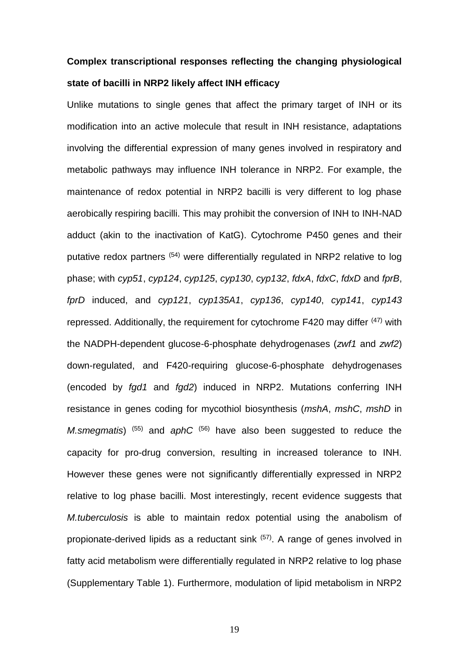# **Complex transcriptional responses reflecting the changing physiological state of bacilli in NRP2 likely affect INH efficacy**

Unlike mutations to single genes that affect the primary target of INH or its modification into an active molecule that result in INH resistance, adaptations involving the differential expression of many genes involved in respiratory and metabolic pathways may influence INH tolerance in NRP2. For example, the maintenance of redox potential in NRP2 bacilli is very different to log phase aerobically respiring bacilli. This may prohibit the conversion of INH to INH-NAD adduct (akin to the inactivation of KatG). Cytochrome P450 genes and their putative redox partners (54) were differentially regulated in NRP2 relative to log phase; with *cyp51*, *cyp124*, *cyp125*, *cyp130*, *cyp132*, *fdxA*, *fdxC*, *fdxD* and *fprB*, *fprD* induced, and *cyp121*, *cyp135A1*, *cyp136*, *cyp140*, *cyp141*, *cyp143* repressed. Additionally, the requirement for cytochrome  $F420$  may differ  $(47)$  with the NADPH-dependent glucose-6-phosphate dehydrogenases (*zwf1* and *zwf2*) down-regulated, and F420-requiring glucose-6-phosphate dehydrogenases (encoded by *fgd1* and *fgd2*) induced in NRP2. Mutations conferring INH resistance in genes coding for mycothiol biosynthesis (*mshA*, *mshC*, *mshD* in *M.smegmatis*) (55) and *aphC* (56) have also been suggested to reduce the capacity for pro-drug conversion, resulting in increased tolerance to INH. However these genes were not significantly differentially expressed in NRP2 relative to log phase bacilli. Most interestingly, recent evidence suggests that *M.tuberculosis* is able to maintain redox potential using the anabolism of propionate-derived lipids as a reductant sink  $(57)$ . A range of genes involved in fatty acid metabolism were differentially regulated in NRP2 relative to log phase (Supplementary Table 1). Furthermore, modulation of lipid metabolism in NRP2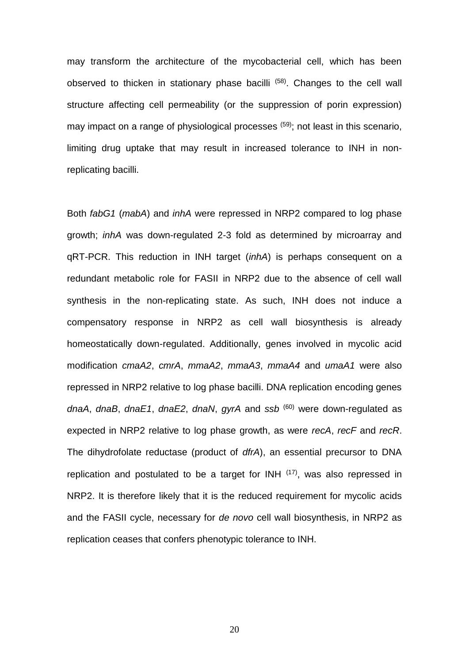may transform the architecture of the mycobacterial cell, which has been observed to thicken in stationary phase bacilli (58). Changes to the cell wall structure affecting cell permeability (or the suppression of porin expression) may impact on a range of physiological processes  $(59)$ ; not least in this scenario, limiting drug uptake that may result in increased tolerance to INH in nonreplicating bacilli.

Both *fabG1* (*mabA*) and *inhA* were repressed in NRP2 compared to log phase growth; *inhA* was down-regulated 2-3 fold as determined by microarray and qRT-PCR. This reduction in INH target (*inhA*) is perhaps consequent on a redundant metabolic role for FASII in NRP2 due to the absence of cell wall synthesis in the non-replicating state. As such, INH does not induce a compensatory response in NRP2 as cell wall biosynthesis is already homeostatically down-regulated. Additionally, genes involved in mycolic acid modification *cmaA2*, *cmrA*, *mmaA2*, *mmaA3*, *mmaA4* and *umaA1* were also repressed in NRP2 relative to log phase bacilli. DNA replication encoding genes *dnaA*, *dnaB*, *dnaE1*, *dnaE2*, *dnaN*, *gyrA* and *ssb* (60) were down-regulated as expected in NRP2 relative to log phase growth, as were *recA*, *recF* and *recR*. The dihydrofolate reductase (product of *dfrA*), an essential precursor to DNA replication and postulated to be a target for  $INH$   $(17)$ , was also repressed in NRP2. It is therefore likely that it is the reduced requirement for mycolic acids and the FASII cycle, necessary for *de novo* cell wall biosynthesis, in NRP2 as replication ceases that confers phenotypic tolerance to INH.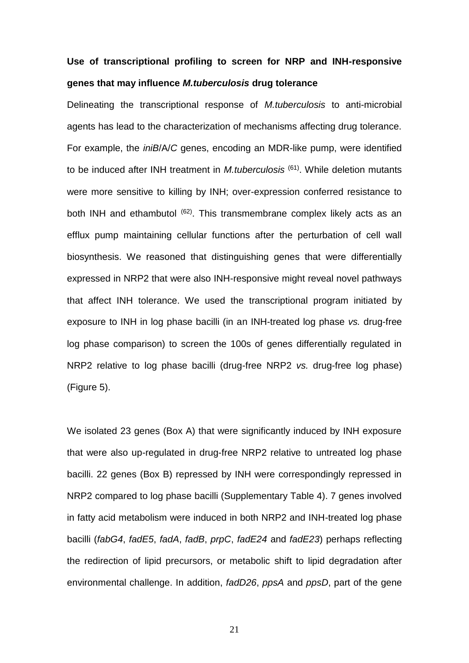# **Use of transcriptional profiling to screen for NRP and INH-responsive genes that may influence** *M.tuberculosis* **drug tolerance**

Delineating the transcriptional response of *M.tuberculosis* to anti-microbial agents has lead to the characterization of mechanisms affecting drug tolerance. For example, the *iniB*/A/*C* genes, encoding an MDR-like pump, were identified to be induced after INH treatment in *M.tuberculosis* (61). While deletion mutants were more sensitive to killing by INH; over-expression conferred resistance to both INH and ethambutol (62). This transmembrane complex likely acts as an efflux pump maintaining cellular functions after the perturbation of cell wall biosynthesis. We reasoned that distinguishing genes that were differentially expressed in NRP2 that were also INH-responsive might reveal novel pathways that affect INH tolerance. We used the transcriptional program initiated by exposure to INH in log phase bacilli (in an INH-treated log phase *vs.* drug-free log phase comparison) to screen the 100s of genes differentially regulated in NRP2 relative to log phase bacilli (drug-free NRP2 *vs.* drug-free log phase) (Figure 5).

We isolated 23 genes (Box A) that were significantly induced by INH exposure that were also up-regulated in drug-free NRP2 relative to untreated log phase bacilli. 22 genes (Box B) repressed by INH were correspondingly repressed in NRP2 compared to log phase bacilli (Supplementary Table 4). 7 genes involved in fatty acid metabolism were induced in both NRP2 and INH-treated log phase bacilli (*fabG4*, *fadE5*, *fadA*, *fadB*, *prpC*, *fadE24* and *fadE23*) perhaps reflecting the redirection of lipid precursors, or metabolic shift to lipid degradation after environmental challenge. In addition, *fadD26*, *ppsA* and *ppsD*, part of the gene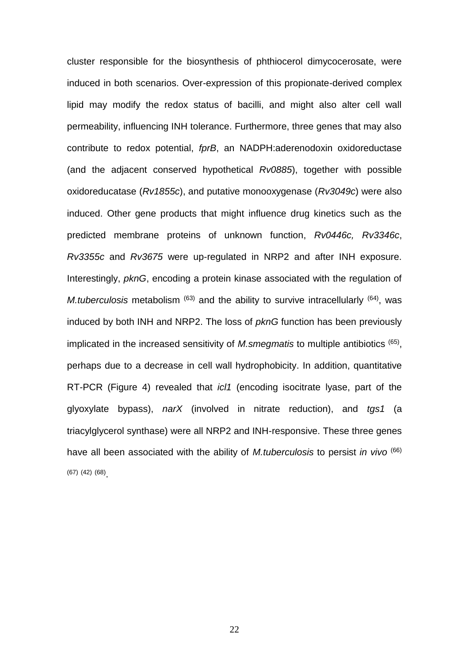cluster responsible for the biosynthesis of phthiocerol dimycocerosate, were induced in both scenarios. Over-expression of this propionate-derived complex lipid may modify the redox status of bacilli, and might also alter cell wall permeability, influencing INH tolerance. Furthermore, three genes that may also contribute to redox potential, *fprB*, an NADPH:aderenodoxin oxidoreductase (and the adjacent conserved hypothetical *Rv0885*), together with possible oxidoreducatase (*Rv1855c*), and putative monooxygenase (*Rv3049c*) were also induced. Other gene products that might influence drug kinetics such as the predicted membrane proteins of unknown function, *Rv0446c, Rv3346c*, *Rv3355c* and *Rv3675* were up-regulated in NRP2 and after INH exposure. Interestingly, *pknG*, encoding a protein kinase associated with the regulation of *M.tuberculosis* metabolism (63) and the ability to survive intracellularly (64), was induced by both INH and NRP2. The loss of *pknG* function has been previously implicated in the increased sensitivity of *M.smegmatis* to multiple antibiotics (65) , perhaps due to a decrease in cell wall hydrophobicity. In addition, quantitative RT-PCR (Figure 4) revealed that *icl1* (encoding isocitrate lyase, part of the glyoxylate bypass), *narX* (involved in nitrate reduction), and *tgs1* (a triacylglycerol synthase) were all NRP2 and INH-responsive. These three genes have all been associated with the ability of *M.tuberculosis* to persist *in vivo* (66) (67) (42) (68) .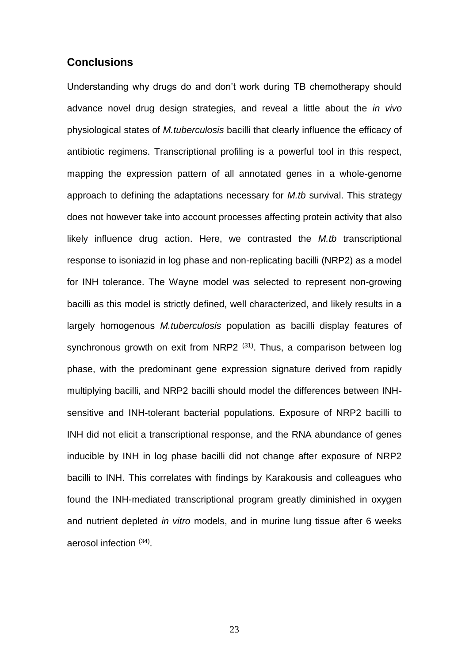# **Conclusions**

Understanding why drugs do and don't work during TB chemotherapy should advance novel drug design strategies, and reveal a little about the *in vivo* physiological states of *M.tuberculosis* bacilli that clearly influence the efficacy of antibiotic regimens. Transcriptional profiling is a powerful tool in this respect, mapping the expression pattern of all annotated genes in a whole-genome approach to defining the adaptations necessary for *M.tb* survival. This strategy does not however take into account processes affecting protein activity that also likely influence drug action. Here, we contrasted the *M.tb* transcriptional response to isoniazid in log phase and non-replicating bacilli (NRP2) as a model for INH tolerance. The Wayne model was selected to represent non-growing bacilli as this model is strictly defined, well characterized, and likely results in a largely homogenous *M.tuberculosis* population as bacilli display features of synchronous growth on exit from NRP2  $(31)$ . Thus, a comparison between log phase, with the predominant gene expression signature derived from rapidly multiplying bacilli, and NRP2 bacilli should model the differences between INHsensitive and INH-tolerant bacterial populations. Exposure of NRP2 bacilli to INH did not elicit a transcriptional response, and the RNA abundance of genes inducible by INH in log phase bacilli did not change after exposure of NRP2 bacilli to INH. This correlates with findings by Karakousis and colleagues who found the INH-mediated transcriptional program greatly diminished in oxygen and nutrient depleted *in vitro* models, and in murine lung tissue after 6 weeks aerosol infection (34).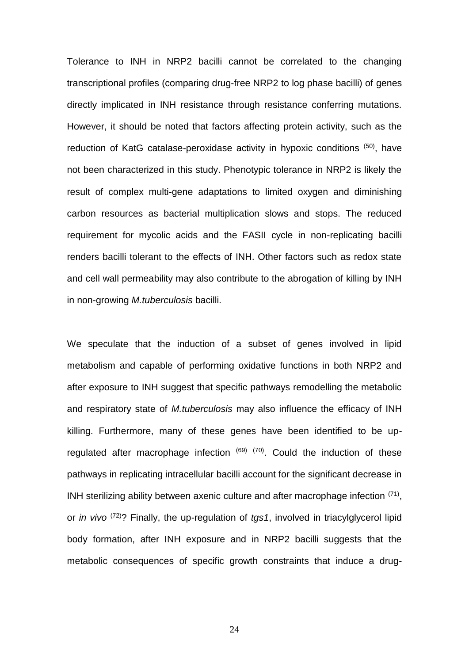Tolerance to INH in NRP2 bacilli cannot be correlated to the changing transcriptional profiles (comparing drug-free NRP2 to log phase bacilli) of genes directly implicated in INH resistance through resistance conferring mutations. However, it should be noted that factors affecting protein activity, such as the reduction of KatG catalase-peroxidase activity in hypoxic conditions (50), have not been characterized in this study. Phenotypic tolerance in NRP2 is likely the result of complex multi-gene adaptations to limited oxygen and diminishing carbon resources as bacterial multiplication slows and stops. The reduced requirement for mycolic acids and the FASII cycle in non-replicating bacilli renders bacilli tolerant to the effects of INH. Other factors such as redox state and cell wall permeability may also contribute to the abrogation of killing by INH in non-growing *M.tuberculosis* bacilli.

We speculate that the induction of a subset of genes involved in lipid metabolism and capable of performing oxidative functions in both NRP2 and after exposure to INH suggest that specific pathways remodelling the metabolic and respiratory state of *M.tuberculosis* may also influence the efficacy of INH killing. Furthermore, many of these genes have been identified to be upregulated after macrophage infection  $(69)$   $(70)$ . Could the induction of these pathways in replicating intracellular bacilli account for the significant decrease in INH sterilizing ability between axenic culture and after macrophage infection (71), or *in vivo* (72)? Finally, the up-regulation of *tgs1*, involved in triacylglycerol lipid body formation, after INH exposure and in NRP2 bacilli suggests that the metabolic consequences of specific growth constraints that induce a drug-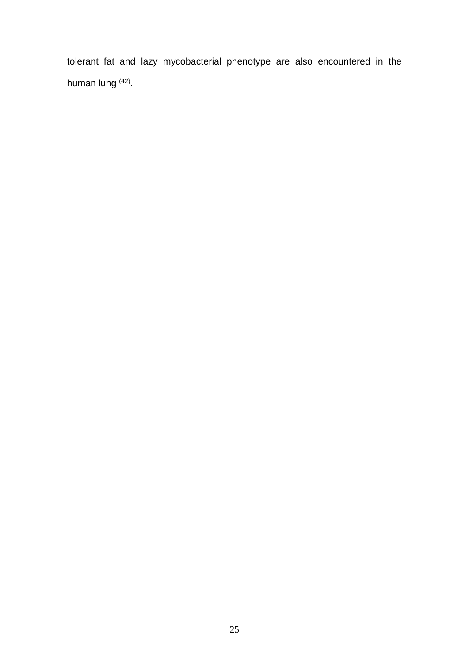tolerant fat and lazy mycobacterial phenotype are also encountered in the human lung (42).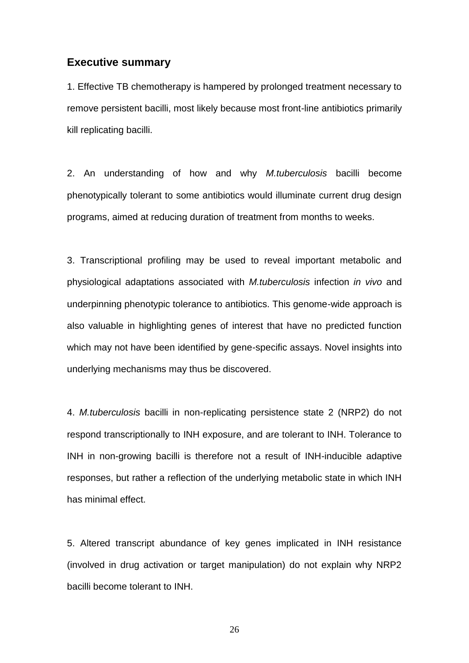## **Executive summary**

1. Effective TB chemotherapy is hampered by prolonged treatment necessary to remove persistent bacilli, most likely because most front-line antibiotics primarily kill replicating bacilli.

2. An understanding of how and why *M.tuberculosis* bacilli become phenotypically tolerant to some antibiotics would illuminate current drug design programs, aimed at reducing duration of treatment from months to weeks.

3. Transcriptional profiling may be used to reveal important metabolic and physiological adaptations associated with *M.tuberculosis* infection *in vivo* and underpinning phenotypic tolerance to antibiotics. This genome-wide approach is also valuable in highlighting genes of interest that have no predicted function which may not have been identified by gene-specific assays. Novel insights into underlying mechanisms may thus be discovered.

4. *M.tuberculosis* bacilli in non-replicating persistence state 2 (NRP2) do not respond transcriptionally to INH exposure, and are tolerant to INH. Tolerance to INH in non-growing bacilli is therefore not a result of INH-inducible adaptive responses, but rather a reflection of the underlying metabolic state in which INH has minimal effect.

5. Altered transcript abundance of key genes implicated in INH resistance (involved in drug activation or target manipulation) do not explain why NRP2 bacilli become tolerant to INH.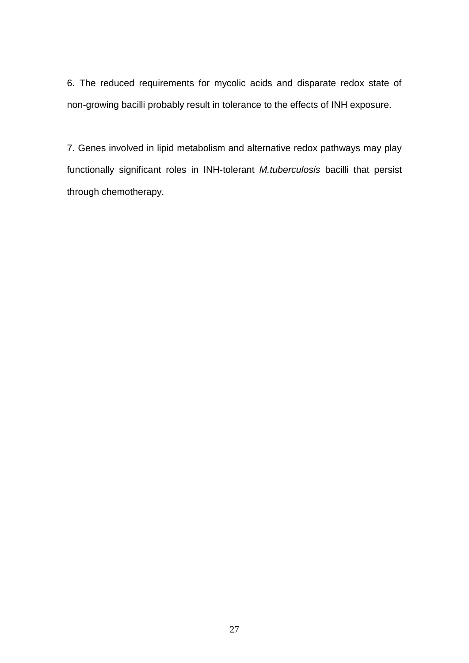6. The reduced requirements for mycolic acids and disparate redox state of non-growing bacilli probably result in tolerance to the effects of INH exposure.

7. Genes involved in lipid metabolism and alternative redox pathways may play functionally significant roles in INH-tolerant *M.tuberculosis* bacilli that persist through chemotherapy.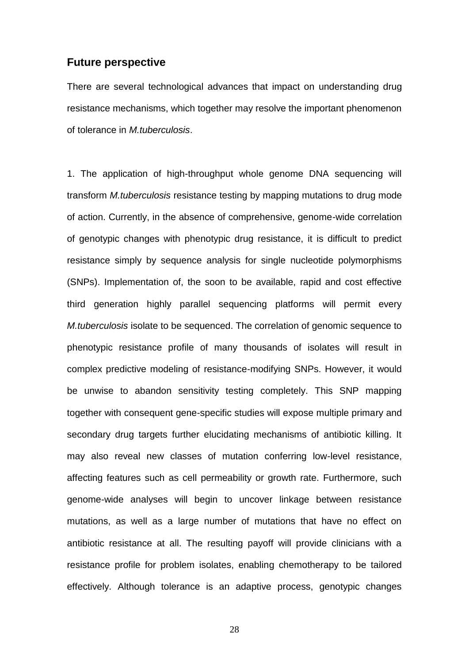### **Future perspective**

There are several technological advances that impact on understanding drug resistance mechanisms, which together may resolve the important phenomenon of tolerance in *M.tuberculosis*.

1. The application of high-throughput whole genome DNA sequencing will transform *M.tuberculosis* resistance testing by mapping mutations to drug mode of action. Currently, in the absence of comprehensive, genome-wide correlation of genotypic changes with phenotypic drug resistance, it is difficult to predict resistance simply by sequence analysis for single nucleotide polymorphisms (SNPs). Implementation of, the soon to be available, rapid and cost effective third generation highly parallel sequencing platforms will permit every *M.tuberculosis* isolate to be sequenced. The correlation of genomic sequence to phenotypic resistance profile of many thousands of isolates will result in complex predictive modeling of resistance-modifying SNPs. However, it would be unwise to abandon sensitivity testing completely. This SNP mapping together with consequent gene-specific studies will expose multiple primary and secondary drug targets further elucidating mechanisms of antibiotic killing. It may also reveal new classes of mutation conferring low-level resistance, affecting features such as cell permeability or growth rate. Furthermore, such genome-wide analyses will begin to uncover linkage between resistance mutations, as well as a large number of mutations that have no effect on antibiotic resistance at all. The resulting payoff will provide clinicians with a resistance profile for problem isolates, enabling chemotherapy to be tailored effectively. Although tolerance is an adaptive process, genotypic changes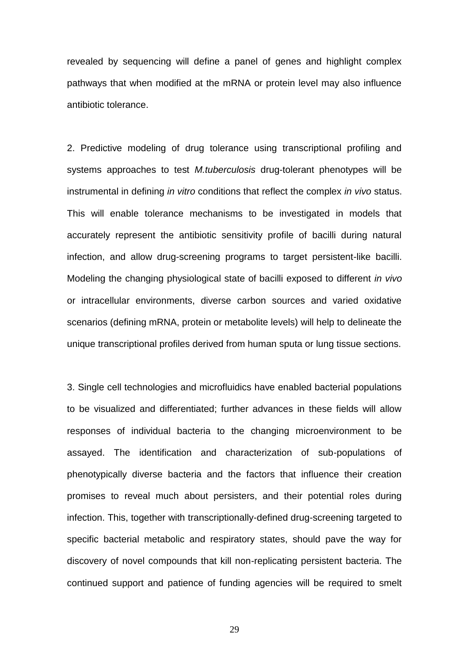revealed by sequencing will define a panel of genes and highlight complex pathways that when modified at the mRNA or protein level may also influence antibiotic tolerance.

2. Predictive modeling of drug tolerance using transcriptional profiling and systems approaches to test *M.tuberculosis* drug-tolerant phenotypes will be instrumental in defining *in vitro* conditions that reflect the complex *in vivo* status. This will enable tolerance mechanisms to be investigated in models that accurately represent the antibiotic sensitivity profile of bacilli during natural infection, and allow drug-screening programs to target persistent-like bacilli. Modeling the changing physiological state of bacilli exposed to different *in vivo* or intracellular environments, diverse carbon sources and varied oxidative scenarios (defining mRNA, protein or metabolite levels) will help to delineate the unique transcriptional profiles derived from human sputa or lung tissue sections.

3. Single cell technologies and microfluidics have enabled bacterial populations to be visualized and differentiated; further advances in these fields will allow responses of individual bacteria to the changing microenvironment to be assayed. The identification and characterization of sub-populations of phenotypically diverse bacteria and the factors that influence their creation promises to reveal much about persisters, and their potential roles during infection. This, together with transcriptionally-defined drug-screening targeted to specific bacterial metabolic and respiratory states, should pave the way for discovery of novel compounds that kill non-replicating persistent bacteria. The continued support and patience of funding agencies will be required to smelt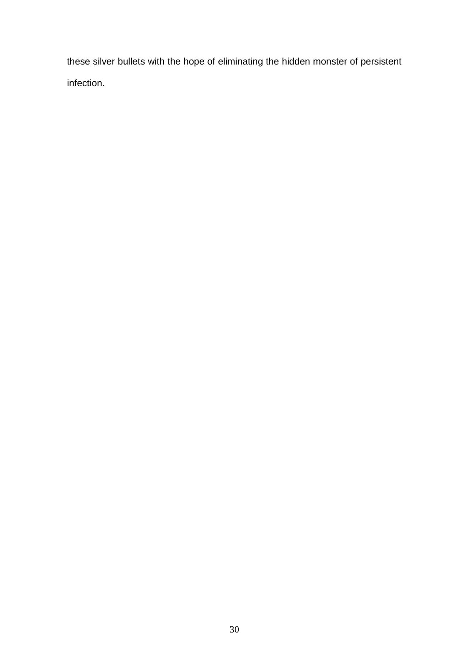these silver bullets with the hope of eliminating the hidden monster of persistent infection.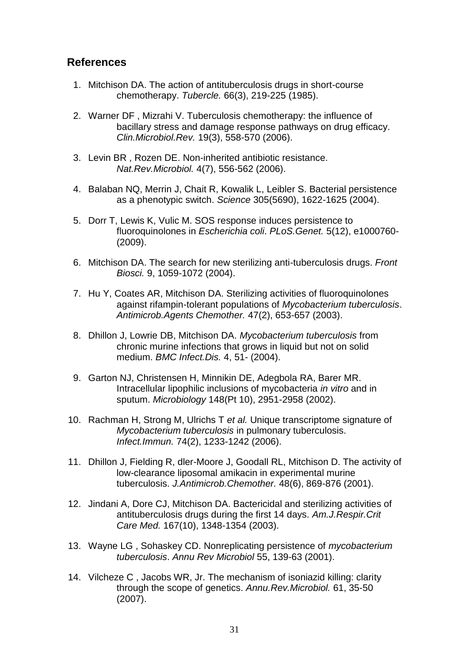# **References**

- 1. Mitchison DA. The action of antituberculosis drugs in short-course chemotherapy. *Tubercle.* 66(3), 219-225 (1985).
- 2. Warner DF , Mizrahi V. Tuberculosis chemotherapy: the influence of bacillary stress and damage response pathways on drug efficacy. *Clin.Microbiol.Rev.* 19(3), 558-570 (2006).
- 3. Levin BR , Rozen DE. Non-inherited antibiotic resistance. *Nat.Rev.Microbiol.* 4(7), 556-562 (2006).
- 4. Balaban NQ, Merrin J, Chait R, Kowalik L, Leibler S. Bacterial persistence as a phenotypic switch. *Science* 305(5690), 1622-1625 (2004).
- 5. Dorr T, Lewis K, Vulic M. SOS response induces persistence to fluoroquinolones in *Escherichia coli*. *PLoS.Genet.* 5(12), e1000760- (2009).
- 6. Mitchison DA. The search for new sterilizing anti-tuberculosis drugs. *Front Biosci.* 9, 1059-1072 (2004).
- 7. Hu Y, Coates AR, Mitchison DA. Sterilizing activities of fluoroquinolones against rifampin-tolerant populations of *Mycobacterium tuberculosis*. *Antimicrob.Agents Chemother.* 47(2), 653-657 (2003).
- 8. Dhillon J, Lowrie DB, Mitchison DA. *Mycobacterium tuberculosis* from chronic murine infections that grows in liquid but not on solid medium. *BMC Infect.Dis.* 4, 51- (2004).
- 9. Garton NJ, Christensen H, Minnikin DE, Adegbola RA, Barer MR. Intracellular lipophilic inclusions of mycobacteria *in vitro* and in sputum. *Microbiology* 148(Pt 10), 2951-2958 (2002).
- 10. Rachman H, Strong M, Ulrichs T *et al.* Unique transcriptome signature of *Mycobacterium tuberculosis* in pulmonary tuberculosis. *Infect.Immun.* 74(2), 1233-1242 (2006).
- 11. Dhillon J, Fielding R, dler-Moore J, Goodall RL, Mitchison D. The activity of low-clearance liposomal amikacin in experimental murine tuberculosis. *J.Antimicrob.Chemother.* 48(6), 869-876 (2001).
- 12. Jindani A, Dore CJ, Mitchison DA. Bactericidal and sterilizing activities of antituberculosis drugs during the first 14 days. *Am.J.Respir.Crit Care Med.* 167(10), 1348-1354 (2003).
- 13. Wayne LG , Sohaskey CD. Nonreplicating persistence of *mycobacterium tuberculosis*. *Annu Rev Microbiol* 55, 139-63 (2001).
- 14. Vilcheze C , Jacobs WR, Jr. The mechanism of isoniazid killing: clarity through the scope of genetics. *Annu.Rev.Microbiol.* 61, 35-50 (2007).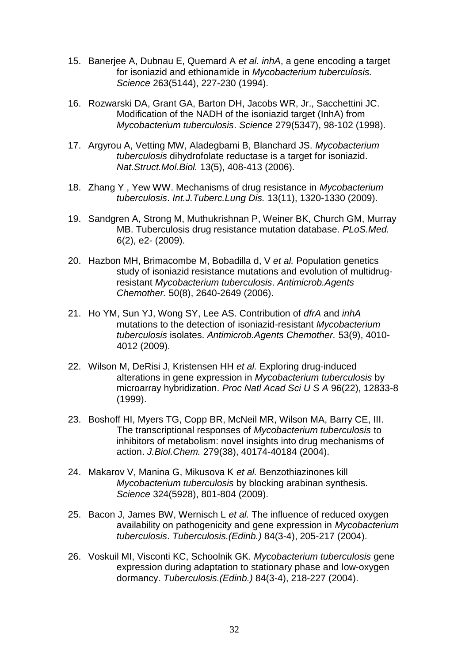- 15. Banerjee A, Dubnau E, Quemard A *et al. inhA*, a gene encoding a target for isoniazid and ethionamide in *Mycobacterium tuberculosis. Science* 263(5144), 227-230 (1994).
- 16. Rozwarski DA, Grant GA, Barton DH, Jacobs WR, Jr., Sacchettini JC. Modification of the NADH of the isoniazid target (InhA) from *Mycobacterium tuberculosis*. *Science* 279(5347), 98-102 (1998).
- 17. Argyrou A, Vetting MW, Aladegbami B, Blanchard JS. *Mycobacterium tuberculosis* dihydrofolate reductase is a target for isoniazid. *Nat.Struct.Mol.Biol.* 13(5), 408-413 (2006).
- 18. Zhang Y , Yew WW. Mechanisms of drug resistance in *Mycobacterium tuberculosis*. *Int.J.Tuberc.Lung Dis.* 13(11), 1320-1330 (2009).
- 19. Sandgren A, Strong M, Muthukrishnan P, Weiner BK, Church GM, Murray MB. Tuberculosis drug resistance mutation database. *PLoS.Med.* 6(2), e2- (2009).
- 20. Hazbon MH, Brimacombe M, Bobadilla d, V *et al.* Population genetics study of isoniazid resistance mutations and evolution of multidrugresistant *Mycobacterium tuberculosis*. *Antimicrob.Agents Chemother.* 50(8), 2640-2649 (2006).
- 21. Ho YM, Sun YJ, Wong SY, Lee AS. Contribution of *dfrA* and *inhA* mutations to the detection of isoniazid-resistant *Mycobacterium tuberculosis* isolates. *Antimicrob.Agents Chemother.* 53(9), 4010- 4012 (2009).
- 22. Wilson M, DeRisi J, Kristensen HH *et al.* Exploring drug-induced alterations in gene expression in *Mycobacterium tuberculosis* by microarray hybridization. *Proc Natl Acad Sci U S A* 96(22), 12833-8 (1999).
- 23. Boshoff HI, Myers TG, Copp BR, McNeil MR, Wilson MA, Barry CE, III. The transcriptional responses of *Mycobacterium tuberculosis* to inhibitors of metabolism: novel insights into drug mechanisms of action. *J.Biol.Chem.* 279(38), 40174-40184 (2004).
- 24. Makarov V, Manina G, Mikusova K *et al.* Benzothiazinones kill *Mycobacterium tuberculosis* by blocking arabinan synthesis. *Science* 324(5928), 801-804 (2009).
- 25. Bacon J, James BW, Wernisch L *et al.* The influence of reduced oxygen availability on pathogenicity and gene expression in *Mycobacterium tuberculosis*. *Tuberculosis.(Edinb.)* 84(3-4), 205-217 (2004).
- 26. Voskuil MI, Visconti KC, Schoolnik GK. *Mycobacterium tuberculosis* gene expression during adaptation to stationary phase and low-oxygen dormancy. *Tuberculosis.(Edinb.)* 84(3-4), 218-227 (2004).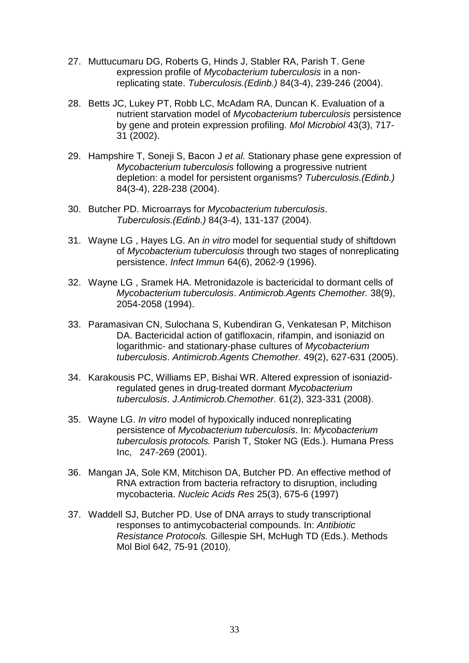- 27. Muttucumaru DG, Roberts G, Hinds J, Stabler RA, Parish T. Gene expression profile of *Mycobacterium tuberculosis* in a nonreplicating state. *Tuberculosis.(Edinb.)* 84(3-4), 239-246 (2004).
- 28. Betts JC, Lukey PT, Robb LC, McAdam RA, Duncan K. Evaluation of a nutrient starvation model of *Mycobacterium tuberculosis* persistence by gene and protein expression profiling. *Mol Microbiol* 43(3), 717- 31 (2002).
- 29. Hampshire T, Soneji S, Bacon J *et al.* Stationary phase gene expression of *Mycobacterium tuberculosis* following a progressive nutrient depletion: a model for persistent organisms? *Tuberculosis.(Edinb.)* 84(3-4), 228-238 (2004).
- 30. Butcher PD. Microarrays for *Mycobacterium tuberculosis*. *Tuberculosis.(Edinb.)* 84(3-4), 131-137 (2004).
- 31. Wayne LG , Hayes LG. An *in vitro* model for sequential study of shiftdown of *Mycobacterium tuberculosis* through two stages of nonreplicating persistence. *Infect Immun* 64(6), 2062-9 (1996).
- 32. Wayne LG , Sramek HA. Metronidazole is bactericidal to dormant cells of *Mycobacterium tuberculosis*. *Antimicrob.Agents Chemother.* 38(9), 2054-2058 (1994).
- 33. Paramasivan CN, Sulochana S, Kubendiran G, Venkatesan P, Mitchison DA. Bactericidal action of gatifloxacin, rifampin, and isoniazid on logarithmic- and stationary-phase cultures of *Mycobacterium tuberculosis*. *Antimicrob.Agents Chemother.* 49(2), 627-631 (2005).
- 34. Karakousis PC, Williams EP, Bishai WR. Altered expression of isoniazidregulated genes in drug-treated dormant *Mycobacterium tuberculosis*. *J.Antimicrob.Chemother.* 61(2), 323-331 (2008).
- 35. Wayne LG. *In vitro* model of hypoxically induced nonreplicating persistence of *Mycobacterium tuberculosis*. In: *Mycobacterium tuberculosis protocols.* Parish T, Stoker NG (Eds.). Humana Press Inc, 247-269 (2001).
- 36. Mangan JA, Sole KM, Mitchison DA, Butcher PD. An effective method of RNA extraction from bacteria refractory to disruption, including mycobacteria. *Nucleic Acids Res* 25(3), 675-6 (1997)
- 37. Waddell SJ, Butcher PD. Use of DNA arrays to study transcriptional responses to antimycobacterial compounds. In: *Antibiotic Resistance Protocols.* Gillespie SH, McHugh TD (Eds.). Methods Mol Biol 642, 75-91 (2010).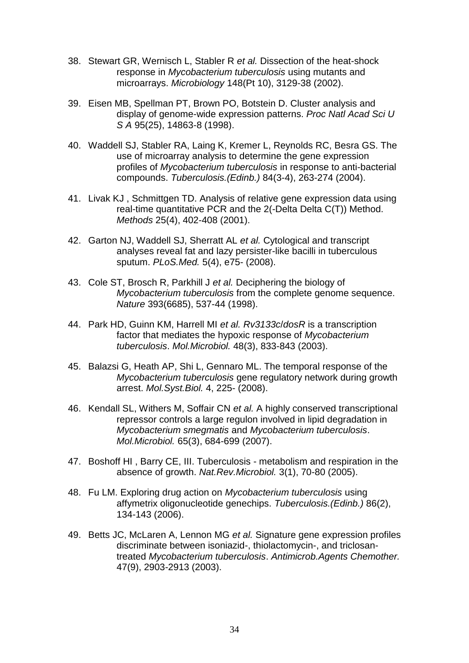- 38. Stewart GR, Wernisch L, Stabler R *et al.* Dissection of the heat-shock response in *Mycobacterium tuberculosis* using mutants and microarrays. *Microbiology* 148(Pt 10), 3129-38 (2002).
- 39. Eisen MB, Spellman PT, Brown PO, Botstein D. Cluster analysis and display of genome-wide expression patterns. *Proc Natl Acad Sci U S A* 95(25), 14863-8 (1998).
- 40. Waddell SJ, Stabler RA, Laing K, Kremer L, Reynolds RC, Besra GS. The use of microarray analysis to determine the gene expression profiles of *Mycobacterium tuberculosis* in response to anti-bacterial compounds. *Tuberculosis.(Edinb.)* 84(3-4), 263-274 (2004).
- 41. Livak KJ , Schmittgen TD. Analysis of relative gene expression data using real-time quantitative PCR and the 2(-Delta Delta C(T)) Method. *Methods* 25(4), 402-408 (2001).
- 42. Garton NJ, Waddell SJ, Sherratt AL *et al.* Cytological and transcript analyses reveal fat and lazy persister-like bacilli in tuberculous sputum. *PLoS.Med.* 5(4), e75- (2008).
- 43. Cole ST, Brosch R, Parkhill J *et al.* Deciphering the biology of *Mycobacterium tuberculosis* from the complete genome sequence. *Nature* 393(6685), 537-44 (1998).
- 44. Park HD, Guinn KM, Harrell MI *et al. Rv3133c*/*dosR* is a transcription factor that mediates the hypoxic response of *Mycobacterium tuberculosis*. *Mol.Microbiol.* 48(3), 833-843 (2003).
- 45. Balazsi G, Heath AP, Shi L, Gennaro ML. The temporal response of the *Mycobacterium tuberculosis* gene regulatory network during growth arrest. *Mol.Syst.Biol.* 4, 225- (2008).
- 46. Kendall SL, Withers M, Soffair CN *et al.* A highly conserved transcriptional repressor controls a large regulon involved in lipid degradation in *Mycobacterium smegmatis* and *Mycobacterium tuberculosis*. *Mol.Microbiol.* 65(3), 684-699 (2007).
- 47. Boshoff HI , Barry CE, III. Tuberculosis metabolism and respiration in the absence of growth. *Nat.Rev.Microbiol.* 3(1), 70-80 (2005).
- 48. Fu LM. Exploring drug action on *Mycobacterium tuberculosis* using affymetrix oligonucleotide genechips. *Tuberculosis.(Edinb.)* 86(2), 134-143 (2006).
- 49. Betts JC, McLaren A, Lennon MG *et al.* Signature gene expression profiles discriminate between isoniazid-, thiolactomycin-, and triclosantreated *Mycobacterium tuberculosis*. *Antimicrob.Agents Chemother.* 47(9), 2903-2913 (2003).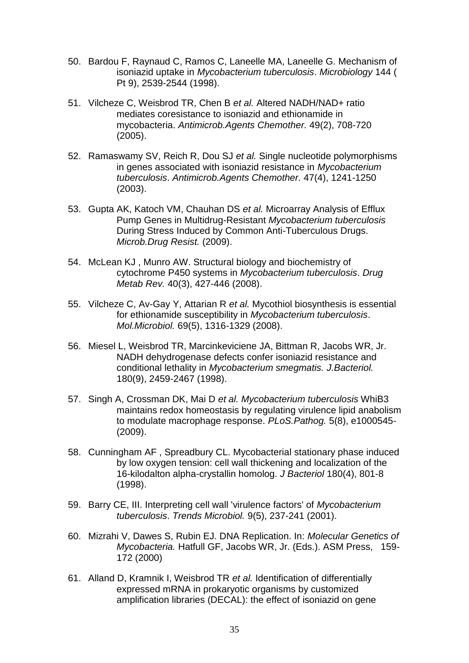- 50. Bardou F, Raynaud C, Ramos C, Laneelle MA, Laneelle G. Mechanism of isoniazid uptake in *Mycobacterium tuberculosis*. *Microbiology* 144 ( Pt 9), 2539-2544 (1998).
- 51. Vilcheze C, Weisbrod TR, Chen B *et al.* Altered NADH/NAD+ ratio mediates coresistance to isoniazid and ethionamide in mycobacteria. *Antimicrob.Agents Chemother.* 49(2), 708-720 (2005).
- 52. Ramaswamy SV, Reich R, Dou SJ *et al.* Single nucleotide polymorphisms in genes associated with isoniazid resistance in *Mycobacterium tuberculosis*. *Antimicrob.Agents Chemother.* 47(4), 1241-1250 (2003).
- 53. Gupta AK, Katoch VM, Chauhan DS *et al.* Microarray Analysis of Efflux Pump Genes in Multidrug-Resistant *Mycobacterium tuberculosis*  During Stress Induced by Common Anti-Tuberculous Drugs. *Microb.Drug Resist.* (2009).
- 54. McLean KJ , Munro AW. Structural biology and biochemistry of cytochrome P450 systems in *Mycobacterium tuberculosis*. *Drug Metab Rev.* 40(3), 427-446 (2008).
- 55. Vilcheze C, Av-Gay Y, Attarian R *et al.* Mycothiol biosynthesis is essential for ethionamide susceptibility in *Mycobacterium tuberculosis*. *Mol.Microbiol.* 69(5), 1316-1329 (2008).
- 56. Miesel L, Weisbrod TR, Marcinkeviciene JA, Bittman R, Jacobs WR, Jr. NADH dehydrogenase defects confer isoniazid resistance and conditional lethality in *Mycobacterium smegmatis. J.Bacteriol.* 180(9), 2459-2467 (1998).
- 57. Singh A, Crossman DK, Mai D *et al. Mycobacterium tuberculosis* WhiB3 maintains redox homeostasis by regulating virulence lipid anabolism to modulate macrophage response. *PLoS.Pathog.* 5(8), e1000545- (2009).
- 58. Cunningham AF , Spreadbury CL. Mycobacterial stationary phase induced by low oxygen tension: cell wall thickening and localization of the 16-kilodalton alpha-crystallin homolog. *J Bacteriol* 180(4), 801-8 (1998).
- 59. Barry CE, III. Interpreting cell wall 'virulence factors' of *Mycobacterium tuberculosis*. *Trends Microbiol.* 9(5), 237-241 (2001).
- 60. Mizrahi V, Dawes S, Rubin EJ. DNA Replication. In: *Molecular Genetics of Mycobacteria.* Hatfull GF, Jacobs WR, Jr. (Eds.). ASM Press, 159- 172 (2000)
- 61. Alland D, Kramnik I, Weisbrod TR *et al.* Identification of differentially expressed mRNA in prokaryotic organisms by customized amplification libraries (DECAL): the effect of isoniazid on gene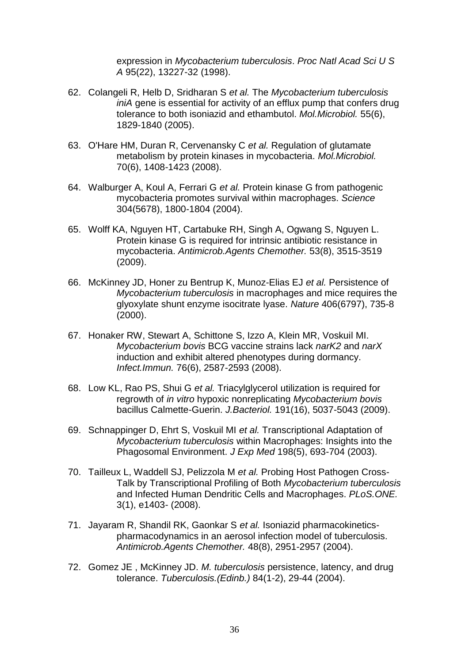expression in *Mycobacterium tuberculosis*. *Proc Natl Acad Sci U S A* 95(22), 13227-32 (1998).

- 62. Colangeli R, Helb D, Sridharan S *et al.* The *Mycobacterium tuberculosis iniA* gene is essential for activity of an efflux pump that confers drug tolerance to both isoniazid and ethambutol. *Mol.Microbiol.* 55(6), 1829-1840 (2005).
- 63. O'Hare HM, Duran R, Cervenansky C *et al.* Regulation of glutamate metabolism by protein kinases in mycobacteria. *Mol.Microbiol.* 70(6), 1408-1423 (2008).
- 64. Walburger A, Koul A, Ferrari G *et al.* Protein kinase G from pathogenic mycobacteria promotes survival within macrophages. *Science* 304(5678), 1800-1804 (2004).
- 65. Wolff KA, Nguyen HT, Cartabuke RH, Singh A, Ogwang S, Nguyen L. Protein kinase G is required for intrinsic antibiotic resistance in mycobacteria. *Antimicrob.Agents Chemother.* 53(8), 3515-3519 (2009).
- 66. McKinney JD, Honer zu Bentrup K, Munoz-Elias EJ *et al.* Persistence of *Mycobacterium tuberculosis* in macrophages and mice requires the glyoxylate shunt enzyme isocitrate lyase. *Nature* 406(6797), 735-8 (2000).
- 67. Honaker RW, Stewart A, Schittone S, Izzo A, Klein MR, Voskuil MI. *Mycobacterium bovis* BCG vaccine strains lack *narK2* and *narX* induction and exhibit altered phenotypes during dormancy. *Infect.Immun.* 76(6), 2587-2593 (2008).
- 68. Low KL, Rao PS, Shui G *et al.* Triacylglycerol utilization is required for regrowth of *in vitro* hypoxic nonreplicating *Mycobacterium bovis*  bacillus Calmette-Guerin. *J.Bacteriol.* 191(16), 5037-5043 (2009).
- 69. Schnappinger D, Ehrt S, Voskuil MI *et al.* Transcriptional Adaptation of *Mycobacterium tuberculosis* within Macrophages: Insights into the Phagosomal Environment. *J Exp Med* 198(5), 693-704 (2003).
- 70. Tailleux L, Waddell SJ, Pelizzola M *et al.* Probing Host Pathogen Cross-Talk by Transcriptional Profiling of Both *Mycobacterium tuberculosis*  and Infected Human Dendritic Cells and Macrophages. *PLoS.ONE.* 3(1), e1403- (2008).
- 71. Jayaram R, Shandil RK, Gaonkar S *et al.* Isoniazid pharmacokineticspharmacodynamics in an aerosol infection model of tuberculosis. *Antimicrob.Agents Chemother.* 48(8), 2951-2957 (2004).
- 72. Gomez JE , McKinney JD. *M. tuberculosis* persistence, latency, and drug tolerance. *Tuberculosis.(Edinb.)* 84(1-2), 29-44 (2004).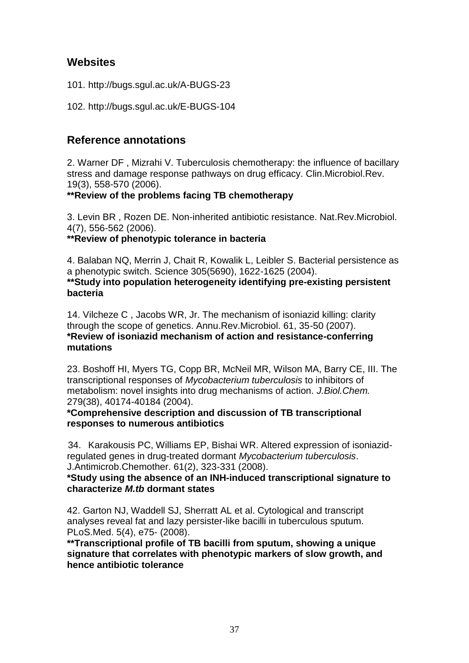# **Websites**

101. http://bugs.sgul.ac.uk/A-BUGS-23

102. http://bugs.sgul.ac.uk/E-BUGS-104

# **Reference annotations**

2. Warner DF , Mizrahi V. Tuberculosis chemotherapy: the influence of bacillary stress and damage response pathways on drug efficacy. Clin.Microbiol.Rev. 19(3), 558-570 (2006).

## **\*\*Review of the problems facing TB chemotherapy**

3. Levin BR , Rozen DE. Non-inherited antibiotic resistance. Nat.Rev.Microbiol. 4(7), 556-562 (2006).

**\*\*Review of phenotypic tolerance in bacteria**

4. Balaban NQ, Merrin J, Chait R, Kowalik L, Leibler S. Bacterial persistence as a phenotypic switch. Science 305(5690), 1622-1625 (2004).

**\*\*Study into population heterogeneity identifying pre-existing persistent bacteria**

14. Vilcheze C , Jacobs WR, Jr. The mechanism of isoniazid killing: clarity through the scope of genetics. Annu.Rev.Microbiol. 61, 35-50 (2007). **\*Review of isoniazid mechanism of action and resistance-conferring mutations**

23. Boshoff HI, Myers TG, Copp BR, McNeil MR, Wilson MA, Barry CE, III. The transcriptional responses of *Mycobacterium tuberculosis* to inhibitors of metabolism: novel insights into drug mechanisms of action. *J.Biol.Chem.* 279(38), 40174-40184 (2004).

**\*Comprehensive description and discussion of TB transcriptional responses to numerous antibiotics**

34. Karakousis PC, Williams EP, Bishai WR. Altered expression of isoniazidregulated genes in drug-treated dormant *Mycobacterium tuberculosis*. J.Antimicrob.Chemother. 61(2), 323-331 (2008).

**\*Study using the absence of an INH-induced transcriptional signature to characterize** *M.tb* **dormant states**

42. Garton NJ, Waddell SJ, Sherratt AL et al. Cytological and transcript analyses reveal fat and lazy persister-like bacilli in tuberculous sputum. PLoS.Med. 5(4), e75- (2008).

**\*\*Transcriptional profile of TB bacilli from sputum, showing a unique signature that correlates with phenotypic markers of slow growth, and hence antibiotic tolerance**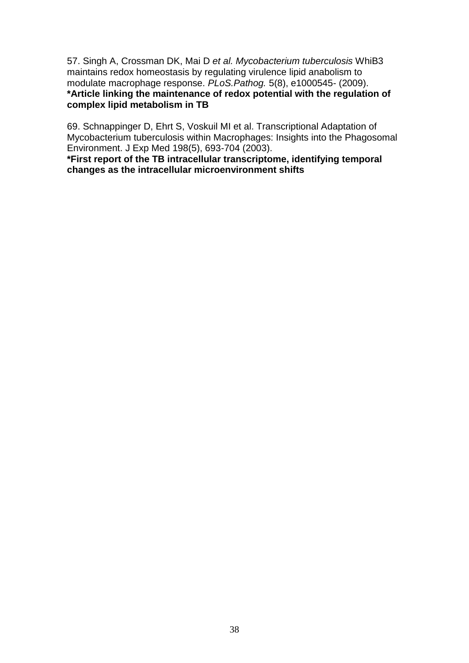57. Singh A, Crossman DK, Mai D *et al. Mycobacterium tuberculosis* WhiB3 maintains redox homeostasis by regulating virulence lipid anabolism to modulate macrophage response. *PLoS.Pathog.* 5(8), e1000545- (2009). **\*Article linking the maintenance of redox potential with the regulation of complex lipid metabolism in TB**

69. Schnappinger D, Ehrt S, Voskuil MI et al. Transcriptional Adaptation of Mycobacterium tuberculosis within Macrophages: Insights into the Phagosomal Environment. J Exp Med 198(5), 693-704 (2003).

**\*First report of the TB intracellular transcriptome, identifying temporal changes as the intracellular microenvironment shifts**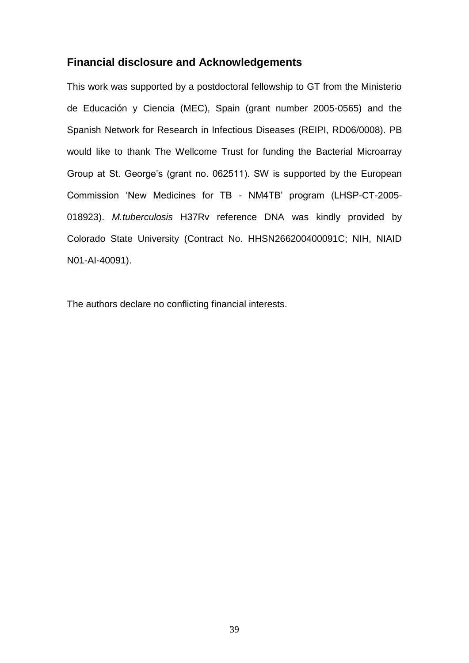# **Financial disclosure and Acknowledgements**

This work was supported by a postdoctoral fellowship to GT from the Ministerio de Educación y Ciencia (MEC), Spain (grant number 2005-0565) and the Spanish Network for Research in Infectious Diseases (REIPI, RD06/0008). PB would like to thank The Wellcome Trust for funding the Bacterial Microarray Group at St. George's (grant no. 062511). SW is supported by the European Commission 'New Medicines for TB - NM4TB' program (LHSP-CT-2005- 018923). *M.tuberculosis* H37Rv reference DNA was kindly provided by Colorado State University (Contract No. HHSN266200400091C; NIH, NIAID N01-AI-40091).

The authors declare no conflicting financial interests.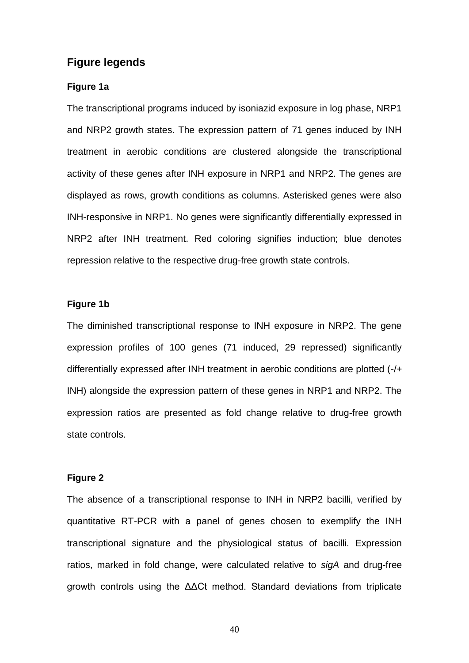## **Figure legends**

### **Figure 1a**

The transcriptional programs induced by isoniazid exposure in log phase, NRP1 and NRP2 growth states. The expression pattern of 71 genes induced by INH treatment in aerobic conditions are clustered alongside the transcriptional activity of these genes after INH exposure in NRP1 and NRP2. The genes are displayed as rows, growth conditions as columns. Asterisked genes were also INH-responsive in NRP1. No genes were significantly differentially expressed in NRP2 after INH treatment. Red coloring signifies induction; blue denotes repression relative to the respective drug-free growth state controls.

### **Figure 1b**

The diminished transcriptional response to INH exposure in NRP2. The gene expression profiles of 100 genes (71 induced, 29 repressed) significantly differentially expressed after INH treatment in aerobic conditions are plotted (-/+ INH) alongside the expression pattern of these genes in NRP1 and NRP2. The expression ratios are presented as fold change relative to drug-free growth state controls.

### **Figure 2**

The absence of a transcriptional response to INH in NRP2 bacilli, verified by quantitative RT-PCR with a panel of genes chosen to exemplify the INH transcriptional signature and the physiological status of bacilli. Expression ratios, marked in fold change, were calculated relative to *sigA* and drug-free growth controls using the ΔΔCt method. Standard deviations from triplicate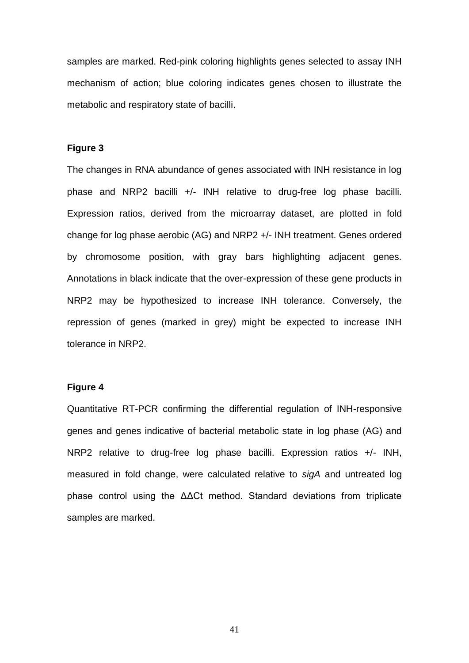samples are marked. Red-pink coloring highlights genes selected to assay INH mechanism of action; blue coloring indicates genes chosen to illustrate the metabolic and respiratory state of bacilli.

### **Figure 3**

The changes in RNA abundance of genes associated with INH resistance in log phase and NRP2 bacilli +/- INH relative to drug-free log phase bacilli. Expression ratios, derived from the microarray dataset, are plotted in fold change for log phase aerobic (AG) and NRP2 +/- INH treatment. Genes ordered by chromosome position, with gray bars highlighting adjacent genes. Annotations in black indicate that the over-expression of these gene products in NRP2 may be hypothesized to increase INH tolerance. Conversely, the repression of genes (marked in grey) might be expected to increase INH tolerance in NRP2.

### **Figure 4**

Quantitative RT-PCR confirming the differential regulation of INH-responsive genes and genes indicative of bacterial metabolic state in log phase (AG) and NRP2 relative to drug-free log phase bacilli. Expression ratios +/- INH, measured in fold change, were calculated relative to *sigA* and untreated log phase control using the ΔΔCt method. Standard deviations from triplicate samples are marked.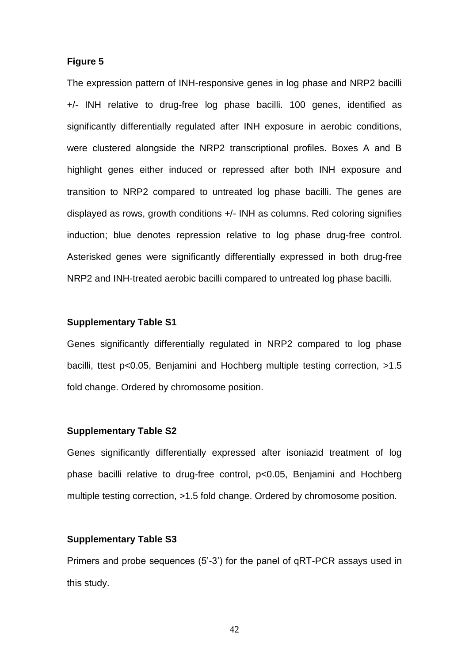### **Figure 5**

The expression pattern of INH-responsive genes in log phase and NRP2 bacilli +/- INH relative to drug-free log phase bacilli. 100 genes, identified as significantly differentially regulated after INH exposure in aerobic conditions, were clustered alongside the NRP2 transcriptional profiles. Boxes A and B highlight genes either induced or repressed after both INH exposure and transition to NRP2 compared to untreated log phase bacilli. The genes are displayed as rows, growth conditions +/- INH as columns. Red coloring signifies induction; blue denotes repression relative to log phase drug-free control. Asterisked genes were significantly differentially expressed in both drug-free NRP2 and INH-treated aerobic bacilli compared to untreated log phase bacilli.

### **Supplementary Table S1**

Genes significantly differentially regulated in NRP2 compared to log phase bacilli, ttest p<0.05, Benjamini and Hochberg multiple testing correction, >1.5 fold change. Ordered by chromosome position.

### **Supplementary Table S2**

Genes significantly differentially expressed after isoniazid treatment of log phase bacilli relative to drug-free control, p<0.05, Benjamini and Hochberg multiple testing correction, >1.5 fold change. Ordered by chromosome position.

### **Supplementary Table S3**

Primers and probe sequences (5'-3') for the panel of qRT-PCR assays used in this study.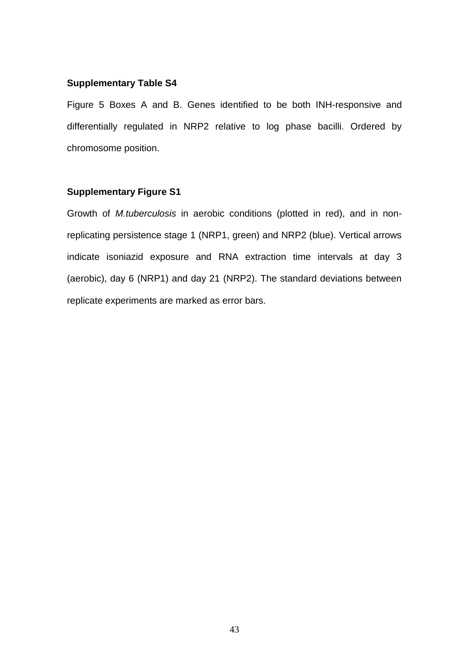### **Supplementary Table S4**

Figure 5 Boxes A and B. Genes identified to be both INH-responsive and differentially regulated in NRP2 relative to log phase bacilli. Ordered by chromosome position.

### **Supplementary Figure S1**

Growth of *M.tuberculosis* in aerobic conditions (plotted in red), and in nonreplicating persistence stage 1 (NRP1, green) and NRP2 (blue). Vertical arrows indicate isoniazid exposure and RNA extraction time intervals at day 3 (aerobic), day 6 (NRP1) and day 21 (NRP2). The standard deviations between replicate experiments are marked as error bars.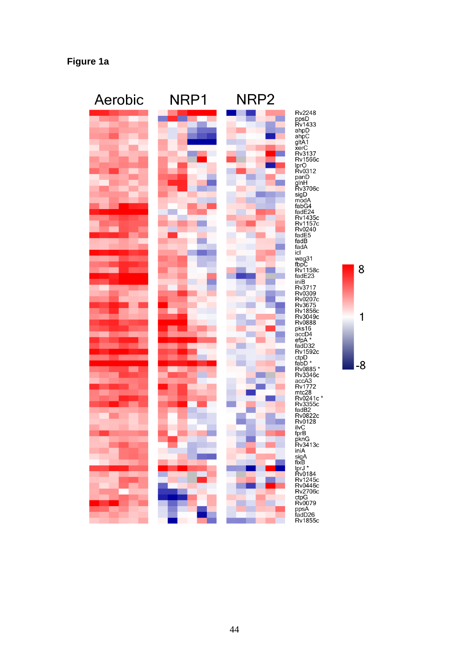# **Figure 1a**



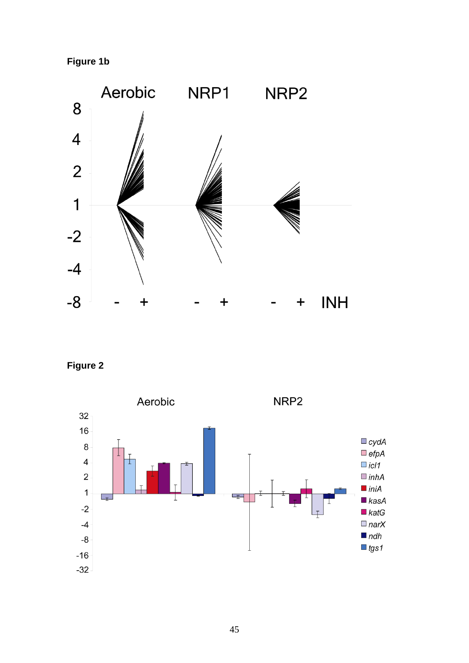**Figure 1b**



**Figure 2**

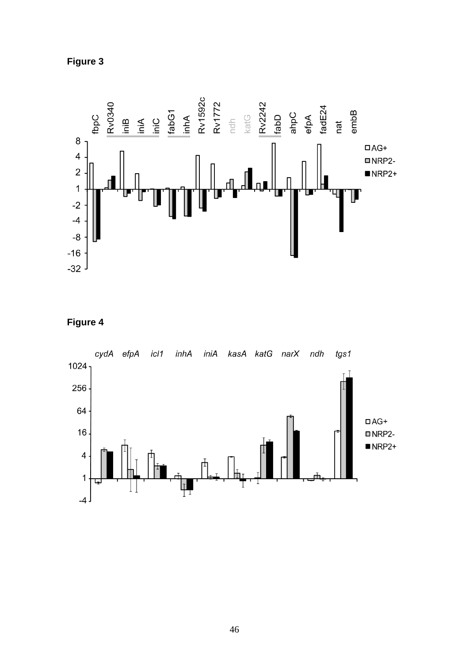**Figure 3**



![](_page_45_Figure_2.jpeg)

![](_page_45_Figure_3.jpeg)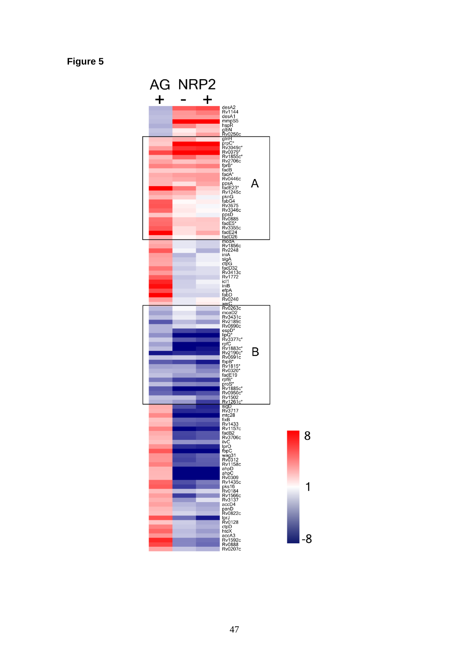# **Figure 5**

![](_page_46_Figure_1.jpeg)